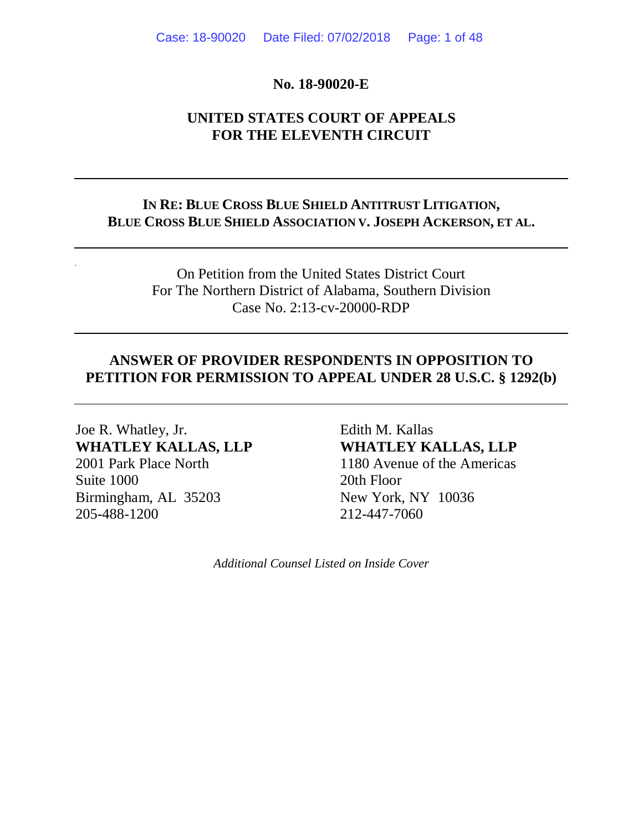#### **No. 18-90020-E**

# **UNITED STATES COURT OF APPEALS FOR THE ELEVENTH CIRCUIT**

# **IN RE: BLUE CROSS BLUE SHIELD ANTITRUST LITIGATION, BLUE CROSS BLUE SHIELD ASSOCIATION V. JOSEPH ACKERSON, ET AL.**

On Petition from the United States District Court For The Northern District of Alabama, Southern Division Case No. 2:13-cv-20000-RDP

## **ANSWER OF PROVIDER RESPONDENTS IN OPPOSITION TO PETITION FOR PERMISSION TO APPEAL UNDER 28 U.S.C. § 1292(b)**

Joe R. Whatley, Jr. **Edith M. Kallas WHATLEY KALLAS, LLP WHATLEY KALLAS, LLP** 2001 Park Place North 1180 Avenue of the Americas Suite 1000 20th Floor Birmingham, AL 35203 New York, NY 10036 205-488-1200 212-447-7060

*Additional Counsel Listed on Inside Cover*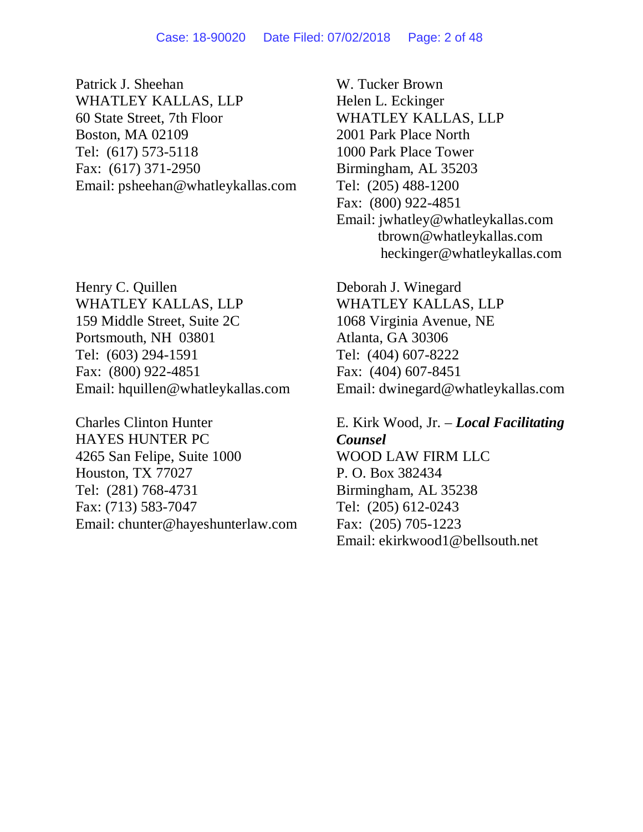Patrick J. Sheehan WHATLEY KALLAS, LLP 60 State Street, 7th Floor Boston, MA 02109 Tel: (617) 573-5118 Fax: (617) 371-2950 Email: psheehan@whatleykallas.com

Henry C. Quillen WHATLEY KALLAS, LLP 159 Middle Street, Suite 2C Portsmouth, NH 03801 Tel: (603) 294-1591 Fax: (800) 922-4851 Email: hquillen@whatleykallas.com

Charles Clinton Hunter HAYES HUNTER PC 4265 San Felipe, Suite 1000 Houston, TX 77027 Tel: (281) 768-4731 Fax: (713) 583-7047 Email: chunter@hayeshunterlaw.com

W. Tucker Brown Helen L. Eckinger WHATLEY KALLAS, LLP 2001 Park Place North 1000 Park Place Tower Birmingham, AL 35203 Tel: (205) 488-1200 Fax: (800) 922-4851 Email: jwhatley@whatleykallas.com tbrown@whatleykallas.com heckinger@whatleykallas.com

Deborah J. Winegard WHATLEY KALLAS, LLP 1068 Virginia Avenue, NE Atlanta, GA 30306 Tel: (404) 607-8222 Fax: (404) 607-8451 Email: dwinegard@whatleykallas.com

E. Kirk Wood, Jr. – *Local Facilitating Counsel* WOOD LAW FIRM LLC P. O. Box 382434 Birmingham, AL 35238 Tel: (205) 612-0243 Fax: (205) 705-1223 Email: ekirkwood1@bellsouth.net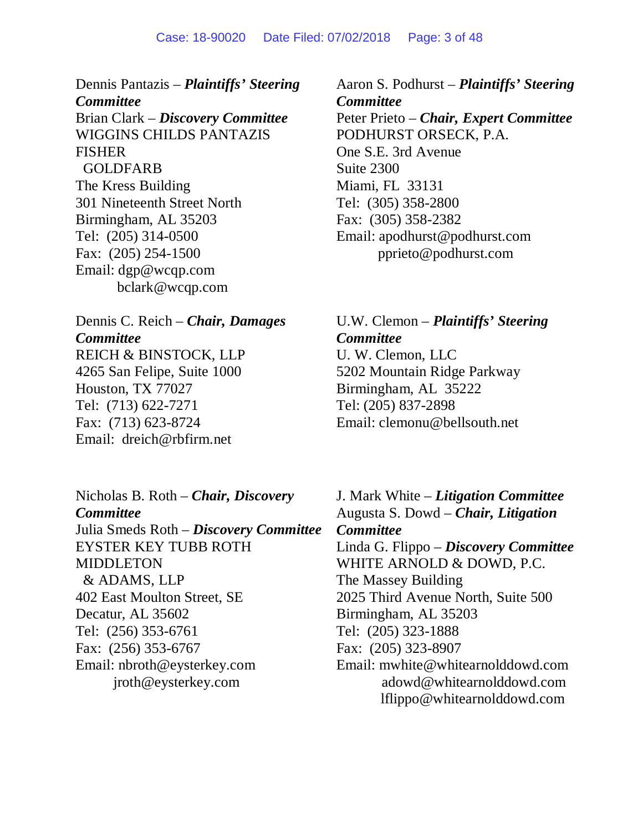Dennis Pantazis – *Plaintiffs' Steering Committee* Brian Clark – *Discovery Committee* WIGGINS CHILDS PANTAZIS FISHER GOLDFARB The Kress Building 301 Nineteenth Street North Birmingham, AL 35203 Tel: (205) 314-0500 Fax: (205) 254-1500 Email: dgp@wcqp.com bclark@wcqp.com

Dennis C. Reich – *Chair, Damages Committee* REICH & BINSTOCK, LLP 4265 San Felipe, Suite 1000 Houston, TX 77027 Tel: (713) 622-7271 Fax: (713) 623-8724 Email: dreich@rbfirm.net

Nicholas B. Roth – *Chair, Discovery Committee* Julia Smeds Roth – *Discovery Committee* EYSTER KEY TUBB ROTH MIDDLETON & ADAMS, LLP 402 East Moulton Street, SE Decatur, AL 35602 Tel: (256) 353-6761 Fax: (256) 353-6767 Email: nbroth@eysterkey.com jroth@eysterkey.com

Aaron S. Podhurst – *Plaintiffs' Steering Committee* Peter Prieto – *Chair, Expert Committee* PODHURST ORSECK, P.A. One S.E. 3rd Avenue Suite 2300 Miami, FL 33131 Tel: (305) 358-2800 Fax: (305) 358-2382 Email: apodhurst@podhurst.com pprieto@podhurst.com

U.W. Clemon – *Plaintiffs' Steering Committee* U. W. Clemon, LLC 5202 Mountain Ridge Parkway Birmingham, AL 35222 Tel: (205) 837-2898 Email: clemonu@bellsouth.net

J. Mark White – *Litigation Committee* Augusta S. Dowd – *Chair, Litigation Committee* Linda G. Flippo – *Discovery Committee* WHITE ARNOLD & DOWD, P.C. The Massey Building 2025 Third Avenue North, Suite 500 Birmingham, AL 35203 Tel: (205) 323-1888 Fax: (205) 323-8907 Email: mwhite@whitearnolddowd.com adowd@whitearnolddowd.com lflippo@whitearnolddowd.com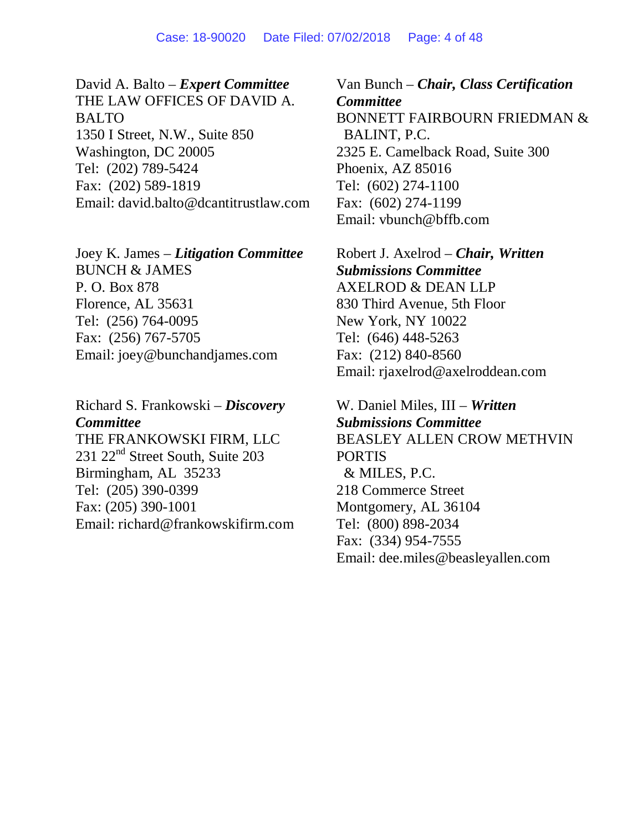David A. Balto – *Expert Committee* THE LAW OFFICES OF DAVID A. BALTO 1350 I Street, N.W., Suite 850 Washington, DC 20005 Tel: (202) 789-5424 Fax: (202) 589-1819 Email: david.balto@dcantitrustlaw.com

Joey K. James – *Litigation Committee* BUNCH & JAMES P. O. Box 878 Florence, AL 35631 Tel: (256) 764-0095 Fax: (256) 767-5705 Email: joey@bunchandjames.com

Richard S. Frankowski – *Discovery Committee* THE FRANKOWSKI FIRM, LLC 231 22<sup>nd</sup> Street South, Suite 203 Birmingham, AL 35233 Tel: (205) 390-0399 Fax: (205) 390-1001 Email: richard@frankowskifirm.com

Van Bunch – *Chair, Class Certification Committee* BONNETT FAIRBOURN FRIEDMAN & BALINT, P.C. 2325 E. Camelback Road, Suite 300 Phoenix, AZ 85016 Tel: (602) 274-1100 Fax: (602) 274-1199 Email: vbunch@bffb.com

Robert J. Axelrod – *Chair, Written Submissions Committee* AXELROD & DEAN LLP 830 Third Avenue, 5th Floor New York, NY 10022 Tel: (646) 448-5263 Fax: (212) 840-8560 Email: rjaxelrod@axelroddean.com

W. Daniel Miles, III – *Written Submissions Committee* BEASLEY ALLEN CROW METHVIN PORTIS & MILES, P.C. 218 Commerce Street Montgomery, AL 36104 Tel: (800) 898-2034 Fax: (334) 954-7555 Email: dee.miles@beasleyallen.com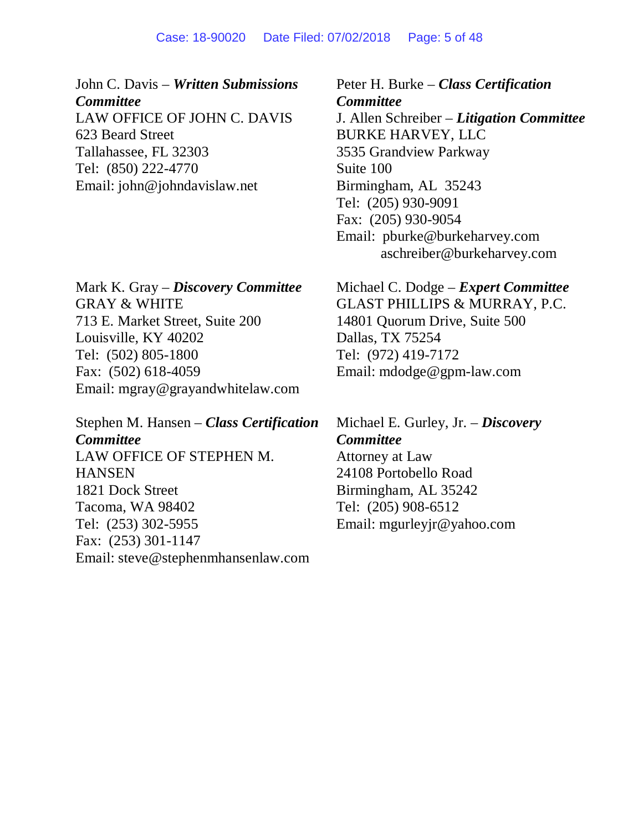#### Case: 18-90020 Date Filed: 07/02/2018 Page: 5 of 48

John C. Davis – *Written Submissions Committee* LAW OFFICE OF JOHN C. DAVIS 623 Beard Street Tallahassee, FL 32303 Tel: (850) 222-4770 Email: john@johndavislaw.net

Mark K. Gray – *Discovery Committee* GRAY & WHITE 713 E. Market Street, Suite 200 Louisville, KY 40202 Tel: (502) 805-1800 Fax: (502) 618-4059 Email: mgray@grayandwhitelaw.com

Stephen M. Hansen – *Class Certification Committee* LAW OFFICE OF STEPHEN M. **HANSEN** 1821 Dock Street Tacoma, WA 98402 Tel: (253) 302-5955 Fax: (253) 301-1147 Email: steve@stephenmhansenlaw.com

Peter H. Burke – *Class Certification Committee* J. Allen Schreiber – *Litigation Committee* BURKE HARVEY, LLC 3535 Grandview Parkway Suite 100 Birmingham, AL 35243 Tel: (205) 930-9091 Fax: (205) 930-9054 Email: pburke@burkeharvey.com aschreiber@burkeharvey.com

Michael C. Dodge – *Expert Committee* GLAST PHILLIPS & MURRAY, P.C. 14801 Quorum Drive, Suite 500 Dallas, TX 75254 Tel: (972) 419-7172 Email: mdodge@gpm-law.com

Michael E. Gurley, Jr. – *Discovery Committee* Attorney at Law 24108 Portobello Road Birmingham, AL 35242 Tel: (205) 908-6512 Email: mgurleyjr@yahoo.com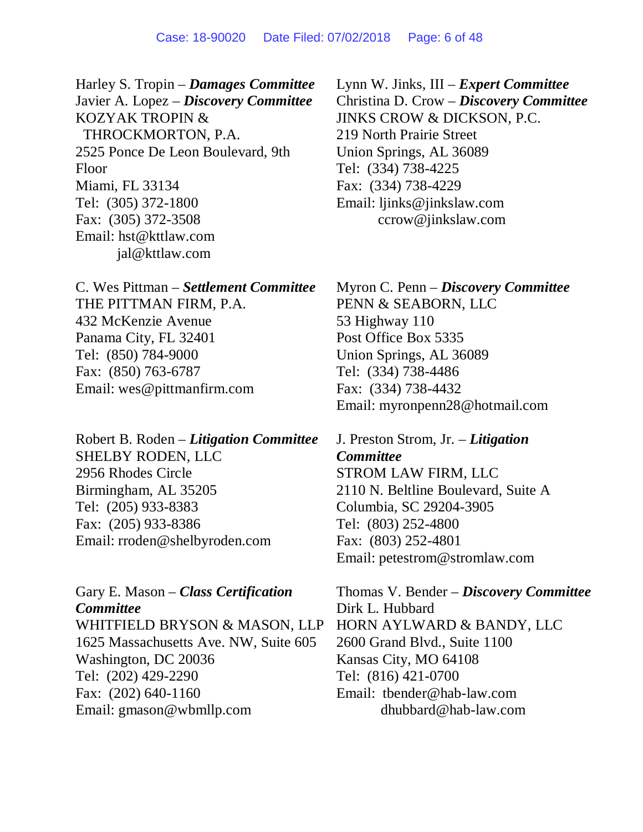Harley S. Tropin – *Damages Committee* Javier A. Lopez – *Discovery Committee* KOZYAK TROPIN & THROCKMORTON, P.A. 2525 Ponce De Leon Boulevard, 9th Floor Miami, FL 33134 Tel: (305) 372-1800 Fax: (305) 372-3508 Email: hst@kttlaw.com jal@kttlaw.com

C. Wes Pittman – *Settlement Committee* THE PITTMAN FIRM, P.A. 432 McKenzie Avenue Panama City, FL 32401 Tel: (850) 784-9000 Fax: (850) 763-6787 Email: wes@pittmanfirm.com

Robert B. Roden – *Litigation Committee* SHELBY RODEN, LLC 2956 Rhodes Circle Birmingham, AL 35205 Tel: (205) 933-8383 Fax: (205) 933-8386 Email: rroden@shelbyroden.com

Gary E. Mason – *Class Certification Committee* WHITFIELD BRYSON & MASON, LLP 1625 Massachusetts Ave. NW, Suite 605 Washington, DC 20036 Tel: (202) 429-2290 Fax: (202) 640-1160 Email: gmason@wbmllp.com

Lynn W. Jinks, III – *Expert Committee* Christina D. Crow – *Discovery Committee* JINKS CROW & DICKSON, P.C. 219 North Prairie Street Union Springs, AL 36089 Tel: (334) 738-4225 Fax: (334) 738-4229 Email: ljinks@jinkslaw.com ccrow@jinkslaw.com

Myron C. Penn – *Discovery Committee* PENN & SEABORN, LLC 53 Highway 110 Post Office Box 5335 Union Springs, AL 36089 Tel: (334) 738-4486 Fax: (334) 738-4432 Email: myronpenn28@hotmail.com

J. Preston Strom, Jr. – *Litigation Committee* STROM LAW FIRM, LLC 2110 N. Beltline Boulevard, Suite A Columbia, SC 29204-3905 Tel: (803) 252-4800 Fax: (803) 252-4801 Email: petestrom@stromlaw.com

Thomas V. Bender – *Discovery Committee* Dirk L. Hubbard HORN AYLWARD & BANDY, LLC 2600 Grand Blvd., Suite 1100 Kansas City, MO 64108 Tel: (816) 421-0700 Email: tbender@hab-law.com dhubbard@hab-law.com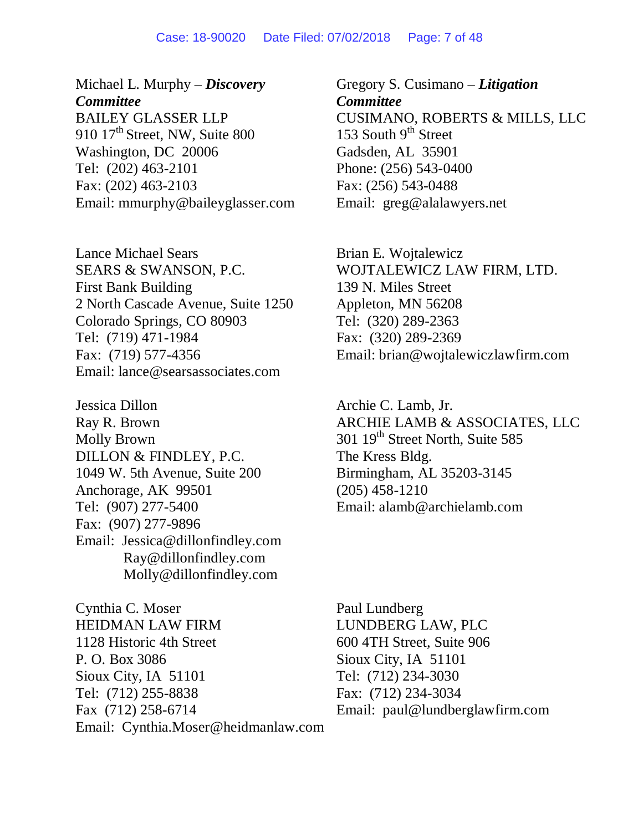#### Case: 18-90020 Date Filed: 07/02/2018 Page: 7 of 48

Michael L. Murphy – *Discovery Committee* BAILEY GLASSER LLP 910  $17<sup>th</sup>$  Street, NW, Suite 800 Washington, DC 20006 Tel: (202) 463-2101 Fax: (202) 463-2103 Email: mmurphy@baileyglasser.com

Lance Michael Sears SEARS & SWANSON, P.C. First Bank Building 2 North Cascade Avenue, Suite 1250 Colorado Springs, CO 80903 Tel: (719) 471-1984 Fax: (719) 577-4356 Email: lance@searsassociates.com

Jessica Dillon Ray R. Brown Molly Brown DILLON & FINDLEY, P.C. 1049 W. 5th Avenue, Suite 200 Anchorage, AK 99501 Tel: (907) 277-5400 Fax: (907) 277-9896 Email: Jessica@dillonfindley.com Ray@dillonfindley.com Molly@dillonfindley.com

Cynthia C. Moser HEIDMAN LAW FIRM 1128 Historic 4th Street P. O. Box 3086 Sioux City, IA 51101 Tel: (712) 255-8838 Fax (712) 258-6714 Email: Cynthia.Moser@heidmanlaw.com Gregory S. Cusimano – *Litigation Committee* CUSIMANO, ROBERTS & MILLS, LLC 153 South  $9<sup>th</sup>$  Street Gadsden, AL 35901 Phone: (256) 543-0400 Fax: (256) 543-0488 Email: greg@alalawyers.net

Brian E. Wojtalewicz WOJTALEWICZ LAW FIRM, LTD. 139 N. Miles Street Appleton, MN 56208 Tel: (320) 289-2363 Fax: (320) 289-2369 Email: brian@wojtalewiczlawfirm.com

Archie C. Lamb, Jr. ARCHIE LAMB & ASSOCIATES, LLC 301 19<sup>th</sup> Street North, Suite 585 The Kress Bldg. Birmingham, AL 35203-3145 (205) 458-1210 Email: alamb@archielamb.com

Paul Lundberg LUNDBERG LAW, PLC 600 4TH Street, Suite 906 Sioux City, IA 51101 Tel: (712) 234-3030 Fax: (712) 234-3034 Email: paul@lundberglawfirm.com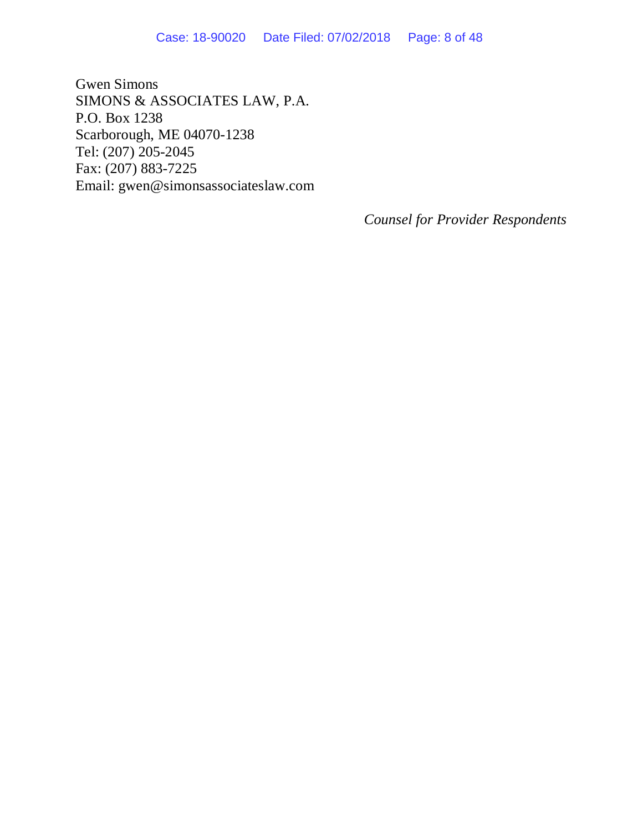Gwen Simons SIMONS & ASSOCIATES LAW, P.A. P.O. Box 1238 Scarborough, ME 04070-1238 Tel: (207) 205-2045 Fax: (207) 883-7225 Email: gwen@simonsassociateslaw.com

*Counsel for Provider Respondents*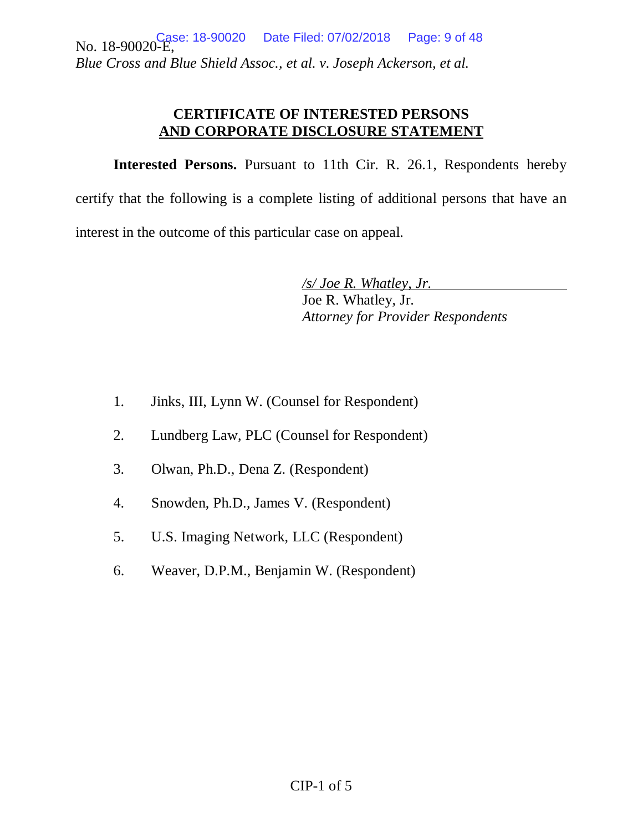No. 18-90020-E, *Blue Cross and Blue Shield Assoc., et al. v. Joseph Ackerson, et al.* Date Filed: 07/02/2018 Page: 9 of 48

## **CERTIFICATE OF INTERESTED PERSONS AND CORPORATE DISCLOSURE STATEMENT**

**Interested Persons.** Pursuant to 11th Cir. R. 26.1, Respondents hereby certify that the following is a complete listing of additional persons that have an interest in the outcome of this particular case on appeal.

> */s/ Joe R. Whatley, Jr.*  Joe R. Whatley, Jr. *Attorney for Provider Respondents*

- 1. Jinks, III, Lynn W. (Counsel for Respondent)
- 2. Lundberg Law, PLC (Counsel for Respondent)
- 3. Olwan, Ph.D., Dena Z. (Respondent)
- 4. Snowden, Ph.D., James V. (Respondent)
- 5. U.S. Imaging Network, LLC (Respondent)
- 6. Weaver, D.P.M., Benjamin W. (Respondent)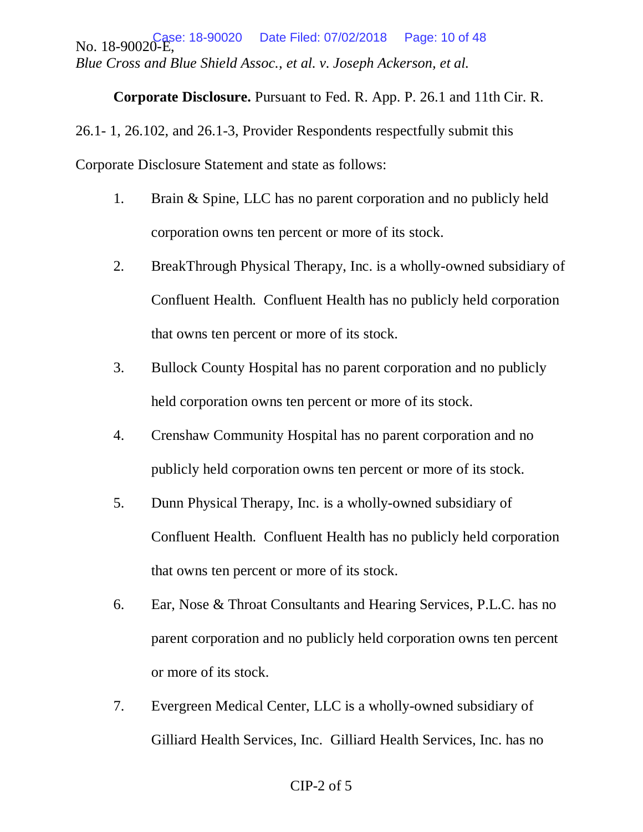No. 18-90020-E, *Blue Cross and Blue Shield Assoc., et al. v. Joseph Ackerson, et al.* Date Filed: 07/02/2018 Page: 10 of 48

**Corporate Disclosure.** Pursuant to Fed. R. App. P. 26.1 and 11th Cir. R.

26.1- 1, 26.102, and 26.1-3, Provider Respondents respectfully submit this Corporate Disclosure Statement and state as follows:

- 1. Brain & Spine, LLC has no parent corporation and no publicly held corporation owns ten percent or more of its stock.
- 2. BreakThrough Physical Therapy, Inc. is a wholly-owned subsidiary of Confluent Health. Confluent Health has no publicly held corporation that owns ten percent or more of its stock.
- 3. Bullock County Hospital has no parent corporation and no publicly held corporation owns ten percent or more of its stock.
- 4. Crenshaw Community Hospital has no parent corporation and no publicly held corporation owns ten percent or more of its stock.
- 5. Dunn Physical Therapy, Inc. is a wholly-owned subsidiary of Confluent Health. Confluent Health has no publicly held corporation that owns ten percent or more of its stock.
- 6. Ear, Nose & Throat Consultants and Hearing Services, P.L.C. has no parent corporation and no publicly held corporation owns ten percent or more of its stock.
- 7. Evergreen Medical Center, LLC is a wholly-owned subsidiary of Gilliard Health Services, Inc. Gilliard Health Services, Inc. has no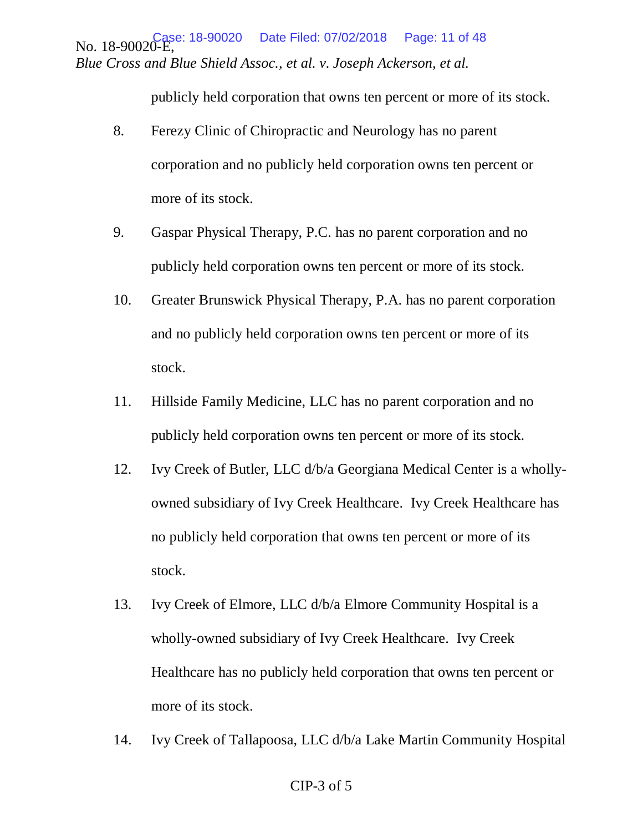No. 18-90020-E, *Blue Cross and Blue Shield Assoc., et al. v. Joseph Ackerson, et al.* Date Filed: 07/02/2018 Page: 11 of 48

publicly held corporation that owns ten percent or more of its stock.

- 8. Ferezy Clinic of Chiropractic and Neurology has no parent corporation and no publicly held corporation owns ten percent or more of its stock.
- 9. Gaspar Physical Therapy, P.C. has no parent corporation and no publicly held corporation owns ten percent or more of its stock.
- 10. Greater Brunswick Physical Therapy, P.A. has no parent corporation and no publicly held corporation owns ten percent or more of its stock.
- 11. Hillside Family Medicine, LLC has no parent corporation and no publicly held corporation owns ten percent or more of its stock.
- 12. Ivy Creek of Butler, LLC d/b/a Georgiana Medical Center is a whollyowned subsidiary of Ivy Creek Healthcare. Ivy Creek Healthcare has no publicly held corporation that owns ten percent or more of its stock.
- 13. Ivy Creek of Elmore, LLC d/b/a Elmore Community Hospital is a wholly-owned subsidiary of Ivy Creek Healthcare. Ivy Creek Healthcare has no publicly held corporation that owns ten percent or more of its stock.
- 14. Ivy Creek of Tallapoosa, LLC d/b/a Lake Martin Community Hospital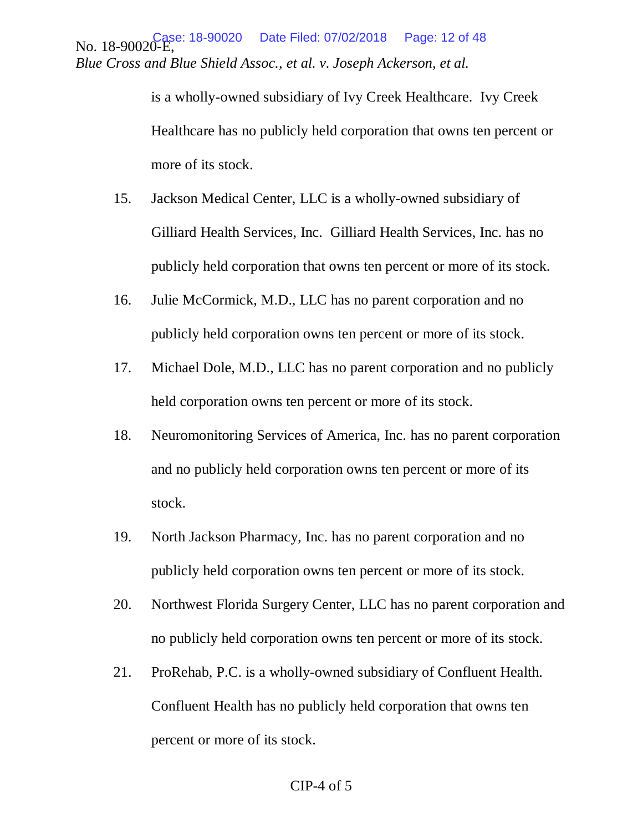No. 18-90020-E, *Blue Cross and Blue Shield Assoc., et al. v. Joseph Ackerson, et al.* Date Filed: 07/02/2018 Page: 12 of 48

> is a wholly-owned subsidiary of Ivy Creek Healthcare. Ivy Creek Healthcare has no publicly held corporation that owns ten percent or more of its stock.

- 15. Jackson Medical Center, LLC is a wholly-owned subsidiary of Gilliard Health Services, Inc. Gilliard Health Services, Inc. has no publicly held corporation that owns ten percent or more of its stock.
- 16. Julie McCormick, M.D., LLC has no parent corporation and no publicly held corporation owns ten percent or more of its stock.
- 17. Michael Dole, M.D., LLC has no parent corporation and no publicly held corporation owns ten percent or more of its stock.
- 18. Neuromonitoring Services of America, Inc. has no parent corporation and no publicly held corporation owns ten percent or more of its stock.
- 19. North Jackson Pharmacy, Inc. has no parent corporation and no publicly held corporation owns ten percent or more of its stock.
- 20. Northwest Florida Surgery Center, LLC has no parent corporation and no publicly held corporation owns ten percent or more of its stock.
- 21. ProRehab, P.C. is a wholly-owned subsidiary of Confluent Health. Confluent Health has no publicly held corporation that owns ten percent or more of its stock.

#### CIP-4 of 5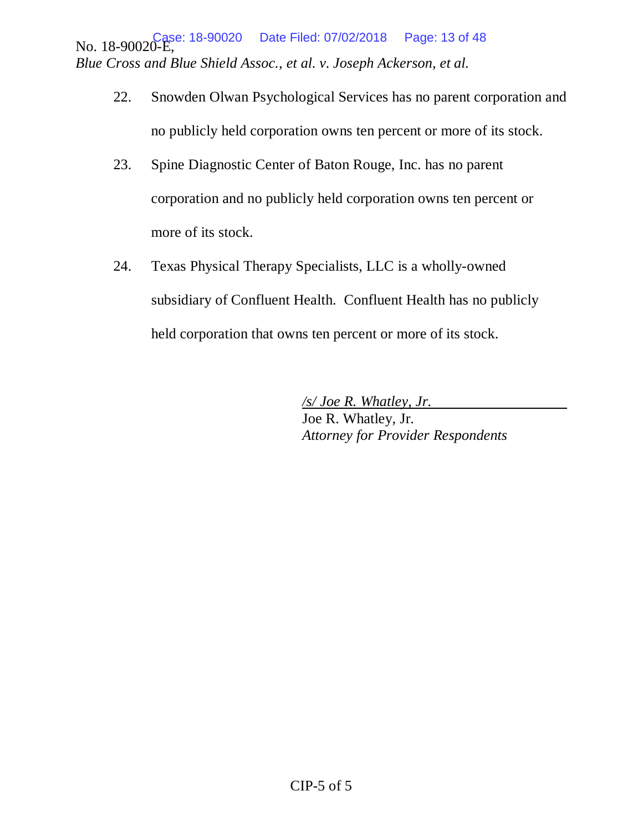No. 18-90020-E, 18-90020 Date Filed: 07/02/2018 Page: 13 of 48 *Blue Cross and Blue Shield Assoc., et al. v. Joseph Ackerson, et al.*

- 22. Snowden Olwan Psychological Services has no parent corporation and no publicly held corporation owns ten percent or more of its stock.
- 23. Spine Diagnostic Center of Baton Rouge, Inc. has no parent corporation and no publicly held corporation owns ten percent or more of its stock.
- 24. Texas Physical Therapy Specialists, LLC is a wholly-owned subsidiary of Confluent Health. Confluent Health has no publicly held corporation that owns ten percent or more of its stock.

 */s/ Joe R. Whatley, Jr.* Joe R. Whatley, Jr. *Attorney for Provider Respondents*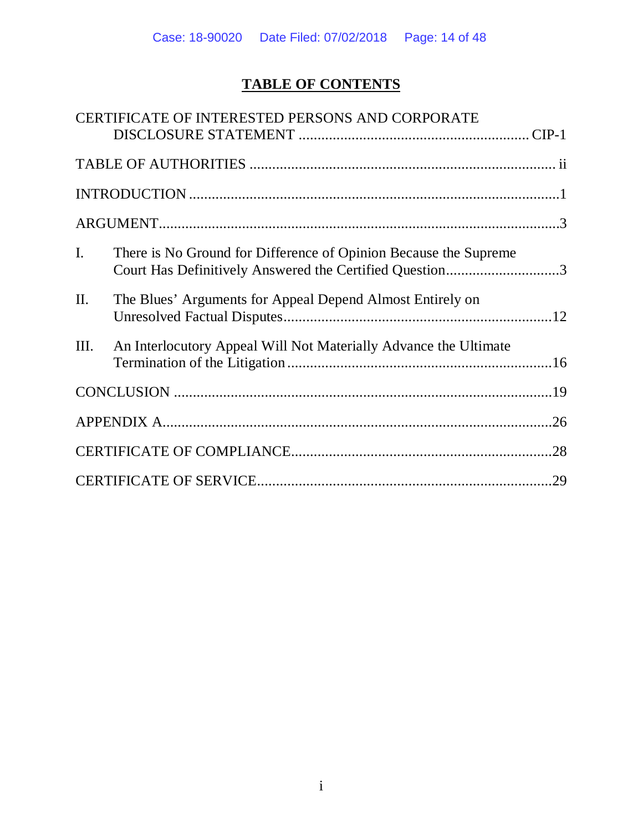# **TABLE OF CONTENTS**

|                | CERTIFICATE OF INTERESTED PERSONS AND CORPORATE                                                                             |  |
|----------------|-----------------------------------------------------------------------------------------------------------------------------|--|
|                |                                                                                                                             |  |
|                |                                                                                                                             |  |
|                |                                                                                                                             |  |
| $\mathbf{I}$ . | There is No Ground for Difference of Opinion Because the Supreme<br>Court Has Definitively Answered the Certified Question3 |  |
| Π.             | The Blues' Arguments for Appeal Depend Almost Entirely on                                                                   |  |
| Ш.             | An Interlocutory Appeal Will Not Materially Advance the Ultimate                                                            |  |
|                |                                                                                                                             |  |
|                |                                                                                                                             |  |
|                |                                                                                                                             |  |
|                |                                                                                                                             |  |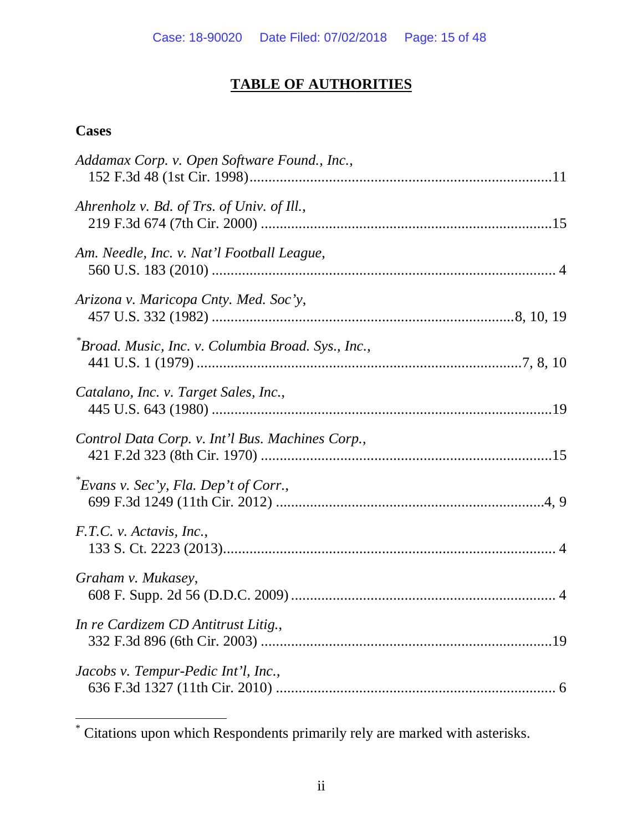# **TABLE OF AUTHORITIES**

# **Cases**

 $\overline{a}$ 

| Addamax Corp. v. Open Software Found., Inc.,       |
|----------------------------------------------------|
| Ahrenholz v. Bd. of Trs. of Univ. of Ill.,         |
| Am. Needle, Inc. v. Nat'l Football League,         |
| Arizona v. Maricopa Cnty. Med. Soc'y,              |
| *Broad. Music, Inc. v. Columbia Broad. Sys., Inc., |
| Catalano, Inc. v. Target Sales, Inc.,              |
| Control Data Corp. v. Int'l Bus. Machines Corp.,   |
| $Evars$ v. Sec'y, Fla. Dep't of Corr.,             |
| F.T.C. v. Actavis, Inc.,                           |
| Graham v. Mukasey,                                 |
| In re Cardizem CD Antitrust Litig.,                |
| Jacobs v. Tempur-Pedic Int'l, Inc.,                |

<sup>\*</sup> Citations upon which Respondents primarily rely are marked with asterisks.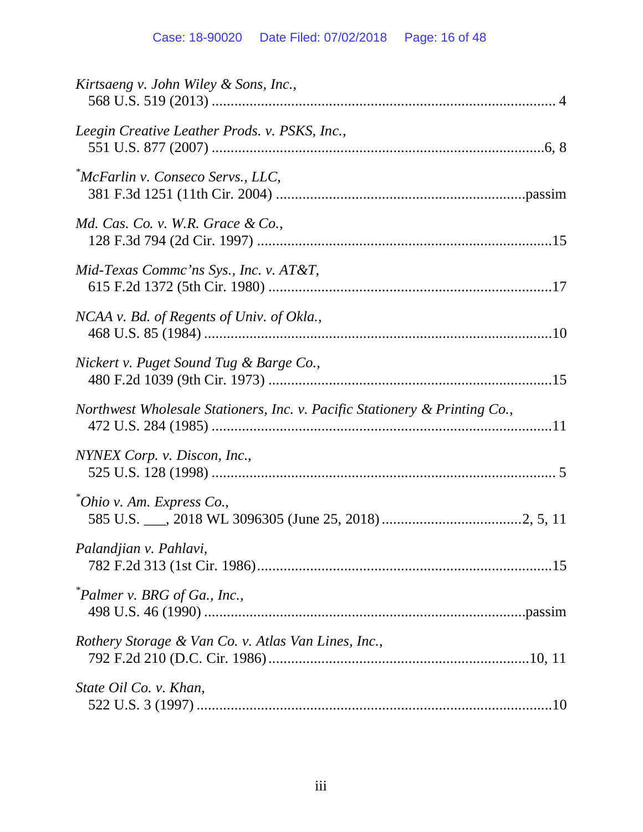# Case: 18-90020 Date Filed: 07/02/2018 Page: 16 of 48

| Kirtsaeng v. John Wiley & Sons, Inc.,                                      |
|----------------------------------------------------------------------------|
| Leegin Creative Leather Prods. v. PSKS, Inc.,                              |
| *McFarlin v. Conseco Servs., LLC,                                          |
| Md. Cas. Co. v. W.R. Grace $\&$ Co.,                                       |
| Mid-Texas Commc'ns Sys., Inc. v. AT&T,                                     |
| NCAA v. Bd. of Regents of Univ. of Okla.,                                  |
| Nickert v. Puget Sound Tug & Barge Co.,                                    |
| Northwest Wholesale Stationers, Inc. v. Pacific Stationery & Printing Co., |
| NYNEX Corp. v. Discon, Inc.,                                               |
| *Ohio v. Am. Express Co.,                                                  |
| Palandjian v. Pahlavi,                                                     |
| "Palmer v. BRG of Ga., Inc.,                                               |
| Rothery Storage & Van Co. v. Atlas Van Lines, Inc.,                        |
| State Oil Co. v. Khan,                                                     |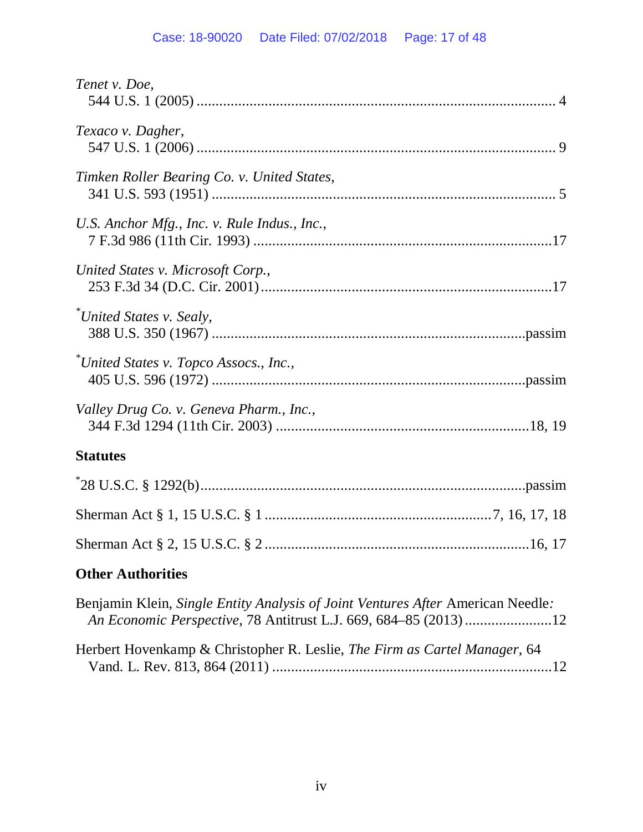| Tenet v. Doe,                                                                   |
|---------------------------------------------------------------------------------|
| Texaco v. Dagher,                                                               |
| Timken Roller Bearing Co. v. United States,                                     |
| U.S. Anchor Mfg., Inc. v. Rule Indus., Inc.,                                    |
| United States v. Microsoft Corp.,                                               |
| *United States v. Sealy,                                                        |
| *United States v. Topco Assocs., Inc.,                                          |
| Valley Drug Co. v. Geneva Pharm., Inc.,                                         |
| <b>Statutes</b>                                                                 |
|                                                                                 |
|                                                                                 |
|                                                                                 |
| <b>Other Authorities</b>                                                        |
| Benjamin Klein, Single Entity Analysis of Joint Ventures After American Needle: |

| Herbert Hovenkamp & Christopher R. Leslie, The Firm as Cartel Manager, 64 |  |
|---------------------------------------------------------------------------|--|
|                                                                           |  |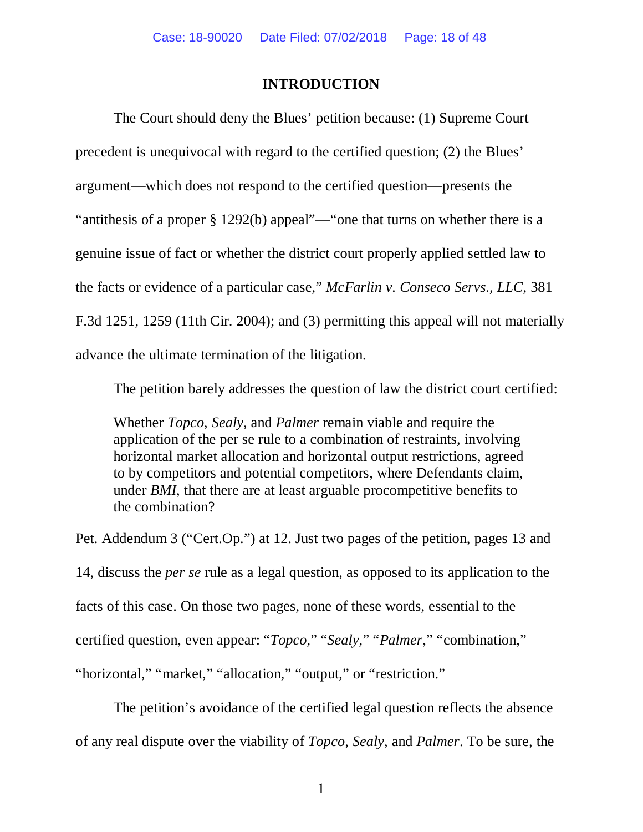## **INTRODUCTION**

The Court should deny the Blues' petition because: (1) Supreme Court precedent is unequivocal with regard to the certified question; (2) the Blues' argument—which does not respond to the certified question—presents the "antithesis of a proper § 1292(b) appeal"—"one that turns on whether there is a genuine issue of fact or whether the district court properly applied settled law to the facts or evidence of a particular case," *McFarlin v. Conseco Servs., LLC*, 381 F.3d 1251, 1259 (11th Cir. 2004); and (3) permitting this appeal will not materially advance the ultimate termination of the litigation.

The petition barely addresses the question of law the district court certified:

Whether *Topco*, *Sealy*, and *Palmer* remain viable and require the application of the per se rule to a combination of restraints, involving horizontal market allocation and horizontal output restrictions, agreed to by competitors and potential competitors, where Defendants claim, under *BMI*, that there are at least arguable procompetitive benefits to the combination?

Pet. Addendum 3 ("Cert.Op.") at 12. Just two pages of the petition, pages 13 and 14, discuss the *per se* rule as a legal question, as opposed to its application to the facts of this case. On those two pages, none of these words, essential to the certified question, even appear: "*Topco*," "*Sealy*," "*Palmer*," "combination," "horizontal," "market," "allocation," "output," or "restriction."

The petition's avoidance of the certified legal question reflects the absence of any real dispute over the viability of *Topco*, *Sealy*, and *Palmer*. To be sure, the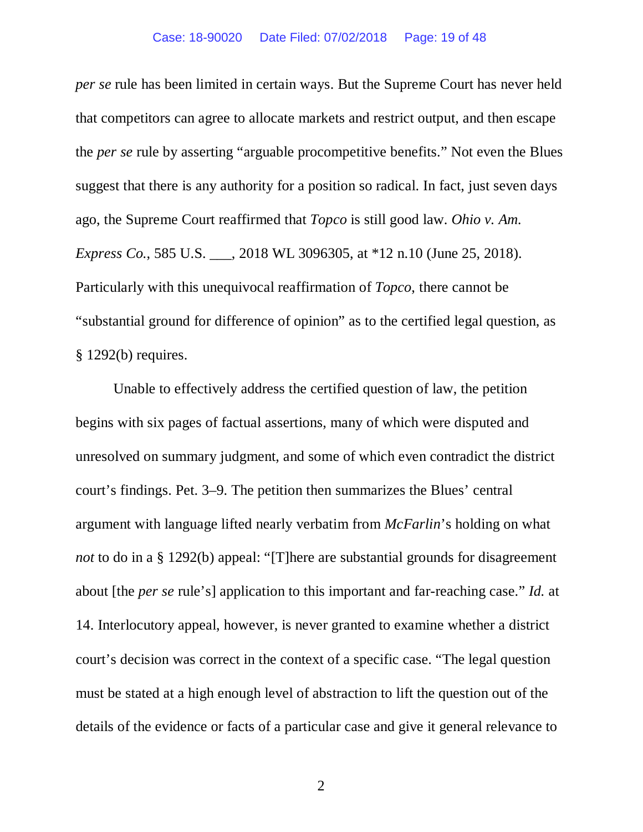#### Case: 18-90020 Date Filed: 07/02/2018 Page: 19 of 48

*per se* rule has been limited in certain ways. But the Supreme Court has never held that competitors can agree to allocate markets and restrict output, and then escape the *per se* rule by asserting "arguable procompetitive benefits." Not even the Blues suggest that there is any authority for a position so radical. In fact, just seven days ago, the Supreme Court reaffirmed that *Topco* is still good law. *Ohio v. Am. Express Co.*, 585 U.S. \_\_\_, 2018 WL 3096305, at \*12 n.10 (June 25, 2018). Particularly with this unequivocal reaffirmation of *Topco*, there cannot be "substantial ground for difference of opinion" as to the certified legal question, as § 1292(b) requires.

Unable to effectively address the certified question of law, the petition begins with six pages of factual assertions, many of which were disputed and unresolved on summary judgment, and some of which even contradict the district court's findings. Pet. 3–9. The petition then summarizes the Blues' central argument with language lifted nearly verbatim from *McFarlin*'s holding on what *not* to do in a § 1292(b) appeal: "[T]here are substantial grounds for disagreement about [the *per se* rule's] application to this important and far-reaching case." *Id.* at 14. Interlocutory appeal, however, is never granted to examine whether a district court's decision was correct in the context of a specific case. "The legal question must be stated at a high enough level of abstraction to lift the question out of the details of the evidence or facts of a particular case and give it general relevance to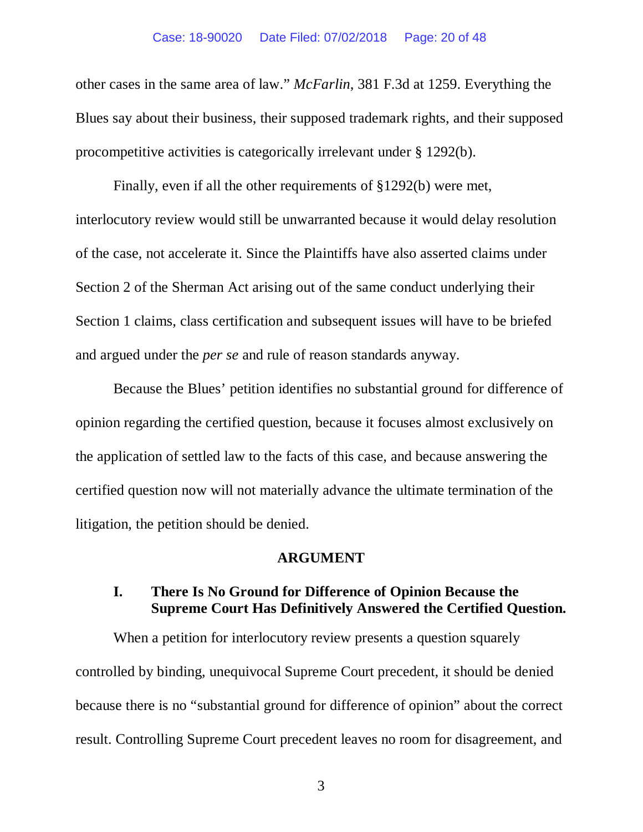other cases in the same area of law." *McFarlin*, 381 F.3d at 1259. Everything the Blues say about their business, their supposed trademark rights, and their supposed procompetitive activities is categorically irrelevant under § 1292(b).

Finally, even if all the other requirements of §1292(b) were met, interlocutory review would still be unwarranted because it would delay resolution of the case, not accelerate it. Since the Plaintiffs have also asserted claims under Section 2 of the Sherman Act arising out of the same conduct underlying their Section 1 claims, class certification and subsequent issues will have to be briefed and argued under the *per se* and rule of reason standards anyway.

Because the Blues' petition identifies no substantial ground for difference of opinion regarding the certified question, because it focuses almost exclusively on the application of settled law to the facts of this case, and because answering the certified question now will not materially advance the ultimate termination of the litigation, the petition should be denied.

#### **ARGUMENT**

## **I. There Is No Ground for Difference of Opinion Because the Supreme Court Has Definitively Answered the Certified Question.**

When a petition for interlocutory review presents a question squarely controlled by binding, unequivocal Supreme Court precedent, it should be denied because there is no "substantial ground for difference of opinion" about the correct result. Controlling Supreme Court precedent leaves no room for disagreement, and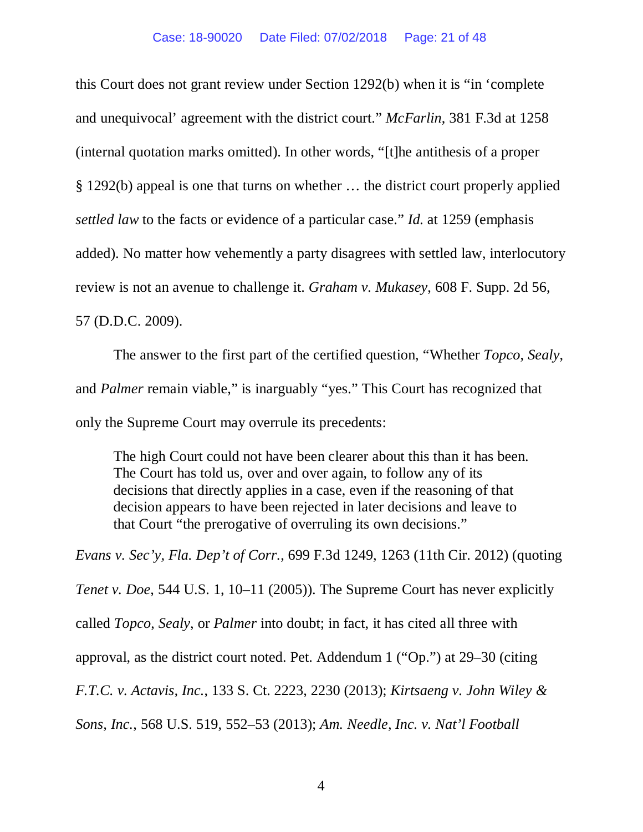this Court does not grant review under Section 1292(b) when it is "in 'complete and unequivocal' agreement with the district court." *McFarlin*, 381 F.3d at 1258 (internal quotation marks omitted). In other words, "[t]he antithesis of a proper § 1292(b) appeal is one that turns on whether … the district court properly applied *settled law* to the facts or evidence of a particular case." *Id.* at 1259 (emphasis added). No matter how vehemently a party disagrees with settled law, interlocutory review is not an avenue to challenge it. *Graham v. Mukasey*, 608 F. Supp. 2d 56, 57 (D.D.C. 2009).

The answer to the first part of the certified question, "Whether *Topco*, *Sealy*, and *Palmer* remain viable," is inarguably "yes." This Court has recognized that only the Supreme Court may overrule its precedents:

The high Court could not have been clearer about this than it has been. The Court has told us, over and over again, to follow any of its decisions that directly applies in a case, even if the reasoning of that decision appears to have been rejected in later decisions and leave to that Court "the prerogative of overruling its own decisions."

*Evans v. Sec'y, Fla. Dep't of Corr.*, 699 F.3d 1249, 1263 (11th Cir. 2012) (quoting *Tenet v. Doe*, 544 U.S. 1, 10–11 (2005)). The Supreme Court has never explicitly called *Topco*, *Sealy*, or *Palmer* into doubt; in fact, it has cited all three with approval, as the district court noted. Pet. Addendum 1 ("Op.") at 29–30 (citing *F.T.C. v. Actavis, Inc.*, 133 S. Ct. 2223, 2230 (2013); *Kirtsaeng v. John Wiley & Sons, Inc.*, 568 U.S. 519, 552–53 (2013); *Am. Needle, Inc. v. Nat'l Football*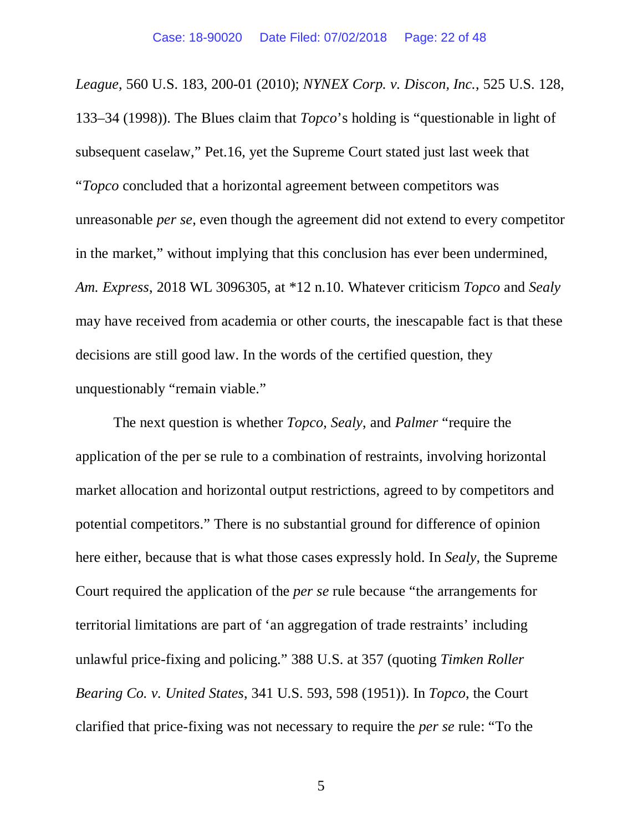*League*, 560 U.S. 183, 200-01 (2010); *NYNEX Corp. v. Discon, Inc.*, 525 U.S. 128, 133–34 (1998)). The Blues claim that *Topco*'s holding is "questionable in light of subsequent caselaw," Pet.16, yet the Supreme Court stated just last week that "*Topco* concluded that a horizontal agreement between competitors was unreasonable *per se*, even though the agreement did not extend to every competitor in the market," without implying that this conclusion has ever been undermined, *Am. Express*, 2018 WL 3096305, at \*12 n.10. Whatever criticism *Topco* and *Sealy* may have received from academia or other courts, the inescapable fact is that these decisions are still good law. In the words of the certified question, they unquestionably "remain viable."

The next question is whether *Topco*, *Sealy*, and *Palmer* "require the application of the per se rule to a combination of restraints, involving horizontal market allocation and horizontal output restrictions, agreed to by competitors and potential competitors." There is no substantial ground for difference of opinion here either, because that is what those cases expressly hold. In *Sealy*, the Supreme Court required the application of the *per se* rule because "the arrangements for territorial limitations are part of 'an aggregation of trade restraints' including unlawful price-fixing and policing." 388 U.S. at 357 (quoting *Timken Roller Bearing Co. v. United States*, 341 U.S. 593, 598 (1951)). In *Topco*, the Court clarified that price-fixing was not necessary to require the *per se* rule: "To the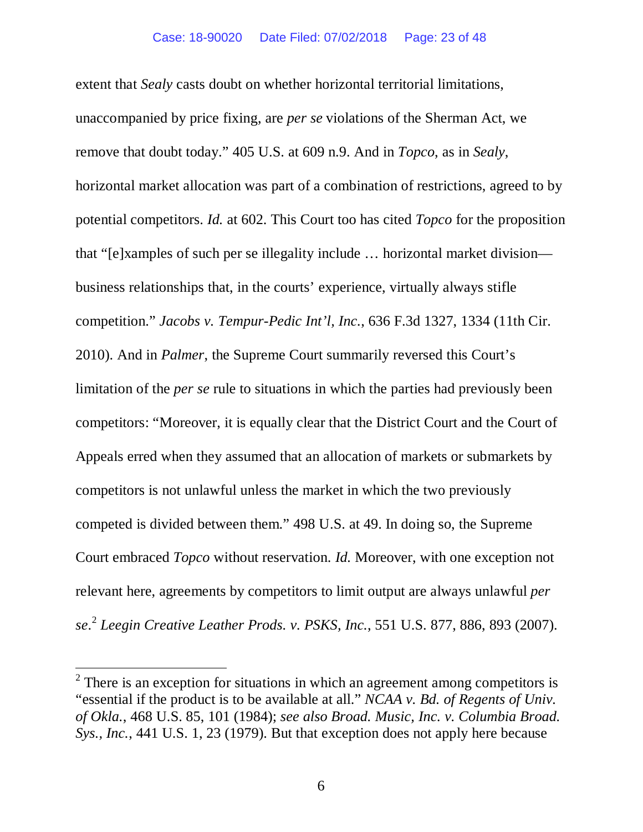extent that *Sealy* casts doubt on whether horizontal territorial limitations, unaccompanied by price fixing, are *per se* violations of the Sherman Act, we remove that doubt today." 405 U.S. at 609 n.9. And in *Topco*, as in *Sealy*, horizontal market allocation was part of a combination of restrictions, agreed to by potential competitors. *Id.* at 602. This Court too has cited *Topco* for the proposition that "[e]xamples of such per se illegality include … horizontal market division business relationships that, in the courts' experience, virtually always stifle competition." *Jacobs v. Tempur-Pedic Int'l, Inc.*, 636 F.3d 1327, 1334 (11th Cir. 2010). And in *Palmer*, the Supreme Court summarily reversed this Court's limitation of the *per se* rule to situations in which the parties had previously been competitors: "Moreover, it is equally clear that the District Court and the Court of Appeals erred when they assumed that an allocation of markets or submarkets by competitors is not unlawful unless the market in which the two previously competed is divided between them." 498 U.S. at 49. In doing so, the Supreme Court embraced *Topco* without reservation. *Id.* Moreover, with one exception not relevant here, agreements by competitors to limit output are always unlawful *per se*. <sup>2</sup> *Leegin Creative Leather Prods. v. PSKS, Inc.*, 551 U.S. 877, 886, 893 (2007).

 $\overline{a}$ 

 $2$  There is an exception for situations in which an agreement among competitors is "essential if the product is to be available at all." *NCAA v. Bd. of Regents of Univ. of Okla.*, 468 U.S. 85, 101 (1984); *see also Broad. Music, Inc. v. Columbia Broad. Sys., Inc.*, 441 U.S. 1, 23 (1979). But that exception does not apply here because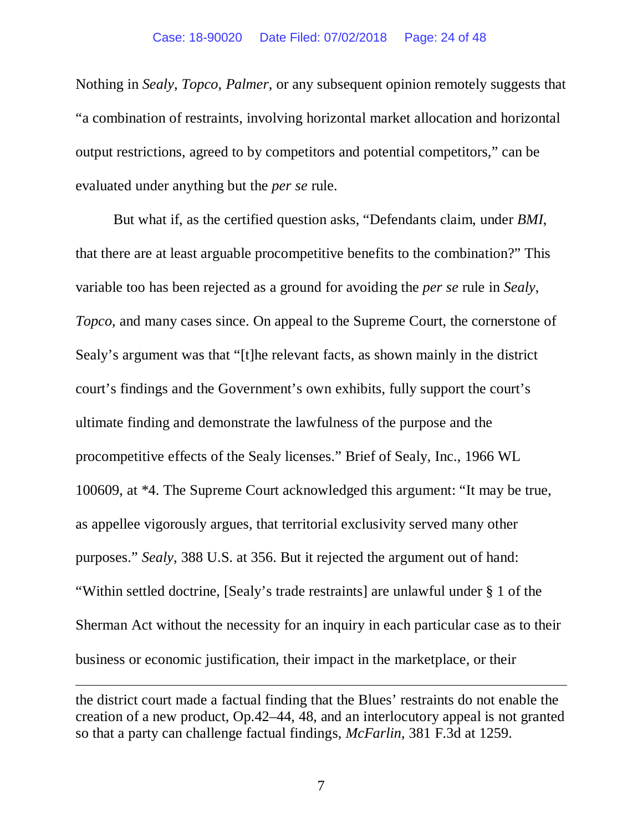Nothing in *Sealy*, *Topco*, *Palmer*, or any subsequent opinion remotely suggests that "a combination of restraints, involving horizontal market allocation and horizontal output restrictions, agreed to by competitors and potential competitors," can be evaluated under anything but the *per se* rule.

But what if, as the certified question asks, "Defendants claim, under *BMI*, that there are at least arguable procompetitive benefits to the combination?" This variable too has been rejected as a ground for avoiding the *per se* rule in *Sealy*, *Topco*, and many cases since. On appeal to the Supreme Court, the cornerstone of Sealy's argument was that "[t]he relevant facts, as shown mainly in the district court's findings and the Government's own exhibits, fully support the court's ultimate finding and demonstrate the lawfulness of the purpose and the procompetitive effects of the Sealy licenses." Brief of Sealy, Inc., 1966 WL 100609, at \*4. The Supreme Court acknowledged this argument: "It may be true, as appellee vigorously argues, that territorial exclusivity served many other purposes." *Sealy*, 388 U.S. at 356. But it rejected the argument out of hand: "Within settled doctrine, [Sealy's trade restraints] are unlawful under § 1 of the Sherman Act without the necessity for an inquiry in each particular case as to their business or economic justification, their impact in the marketplace, or their

 $\overline{a}$ 

the district court made a factual finding that the Blues' restraints do not enable the creation of a new product, Op.42–44, 48, and an interlocutory appeal is not granted so that a party can challenge factual findings, *McFarlin*, 381 F.3d at 1259.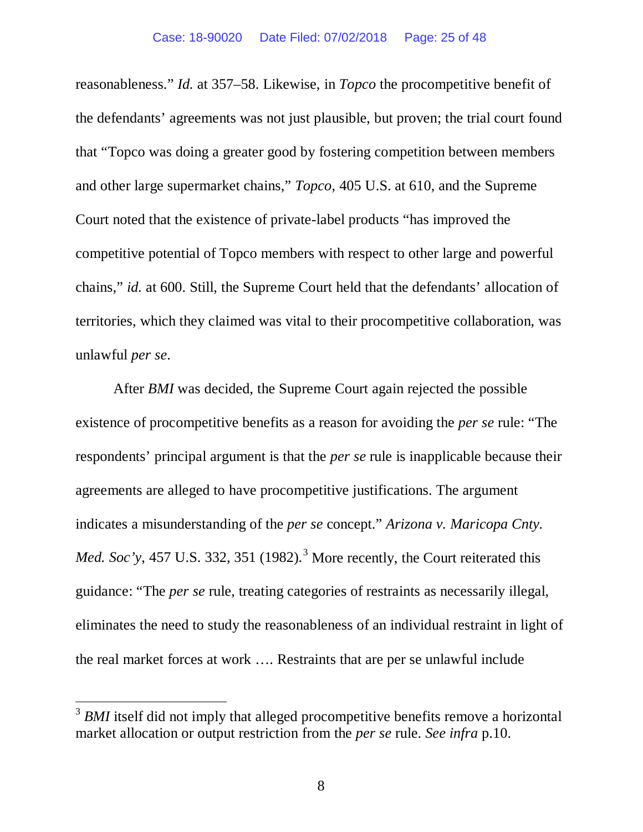reasonableness." *Id.* at 357–58. Likewise, in *Topco* the procompetitive benefit of the defendants' agreements was not just plausible, but proven; the trial court found that "Topco was doing a greater good by fostering competition between members and other large supermarket chains," *Topco*, 405 U.S. at 610, and the Supreme Court noted that the existence of private-label products "has improved the competitive potential of Topco members with respect to other large and powerful chains," *id.* at 600. Still, the Supreme Court held that the defendants' allocation of territories, which they claimed was vital to their procompetitive collaboration, was unlawful *per se*.

After *BMI* was decided, the Supreme Court again rejected the possible existence of procompetitive benefits as a reason for avoiding the *per se* rule: "The respondents' principal argument is that the *per se* rule is inapplicable because their agreements are alleged to have procompetitive justifications. The argument indicates a misunderstanding of the *per se* concept." *Arizona v. Maricopa Cnty. Med. Soc'y*, 457 U.S. 332, 351 (1982).<sup>3</sup> More recently, the Court reiterated this guidance: "The *per se* rule, treating categories of restraints as necessarily illegal, eliminates the need to study the reasonableness of an individual restraint in light of the real market forces at work …. Restraints that are per se unlawful include

 $\overline{a}$ 

<sup>&</sup>lt;sup>3</sup> *BMI* itself did not imply that alleged procompetitive benefits remove a horizontal market allocation or output restriction from the *per se* rule. *See infra* p.10.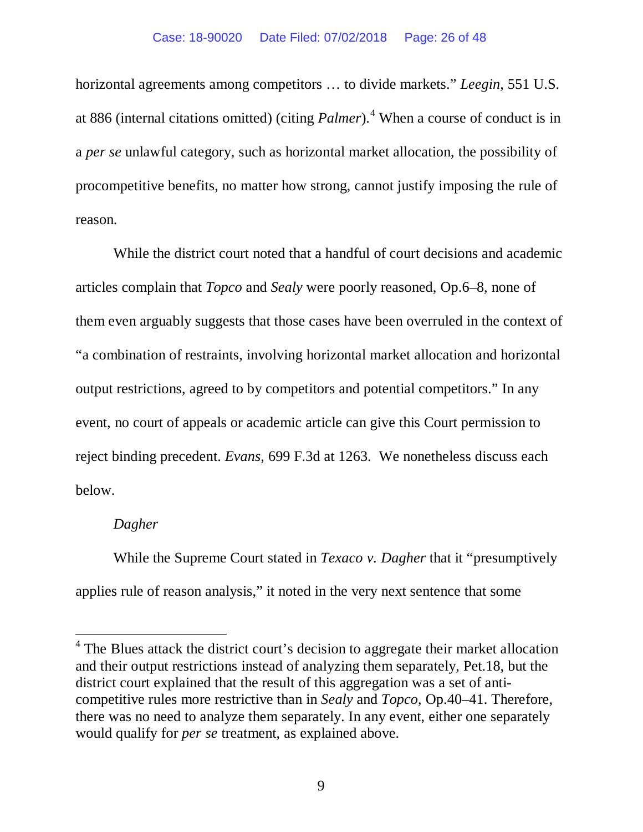#### Case: 18-90020 Date Filed: 07/02/2018 Page: 26 of 48

horizontal agreements among competitors … to divide markets." *Leegin*, 551 U.S. at 886 (internal citations omitted) (citing *Palmer*).<sup>4</sup> When a course of conduct is in a *per se* unlawful category, such as horizontal market allocation, the possibility of procompetitive benefits, no matter how strong, cannot justify imposing the rule of reason.

While the district court noted that a handful of court decisions and academic articles complain that *Topco* and *Sealy* were poorly reasoned, Op.6–8, none of them even arguably suggests that those cases have been overruled in the context of "a combination of restraints, involving horizontal market allocation and horizontal output restrictions, agreed to by competitors and potential competitors." In any event, no court of appeals or academic article can give this Court permission to reject binding precedent. *Evans*, 699 F.3d at 1263. We nonetheless discuss each below.

#### *Dagher*

 $\overline{a}$ 

While the Supreme Court stated in *Texaco v. Dagher* that it "presumptively applies rule of reason analysis," it noted in the very next sentence that some

<sup>&</sup>lt;sup>4</sup> The Blues attack the district court's decision to aggregate their market allocation and their output restrictions instead of analyzing them separately, Pet.18, but the district court explained that the result of this aggregation was a set of anticompetitive rules more restrictive than in *Sealy* and *Topco*, Op.40–41. Therefore, there was no need to analyze them separately. In any event, either one separately would qualify for *per se* treatment, as explained above.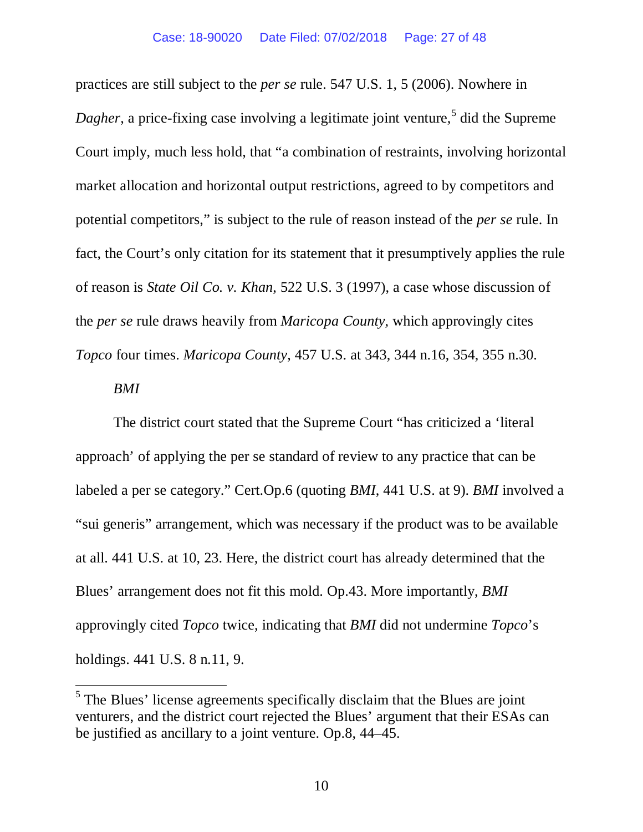practices are still subject to the *per se* rule. 547 U.S. 1, 5 (2006). Nowhere in *Dagher*, a price-fixing case involving a legitimate joint venture,<sup>5</sup> did the Supreme Court imply, much less hold, that "a combination of restraints, involving horizontal market allocation and horizontal output restrictions, agreed to by competitors and potential competitors," is subject to the rule of reason instead of the *per se* rule. In fact, the Court's only citation for its statement that it presumptively applies the rule of reason is *State Oil Co. v. Khan*, 522 U.S. 3 (1997), a case whose discussion of the *per se* rule draws heavily from *Maricopa County*, which approvingly cites *Topco* four times. *Maricopa County*, 457 U.S. at 343, 344 n.16, 354, 355 n.30.

#### *BMI*

 $\overline{a}$ 

The district court stated that the Supreme Court "has criticized a 'literal approach' of applying the per se standard of review to any practice that can be labeled a per se category." Cert.Op.6 (quoting *BMI*, 441 U.S. at 9). *BMI* involved a "sui generis" arrangement, which was necessary if the product was to be available at all. 441 U.S. at 10, 23. Here, the district court has already determined that the Blues' arrangement does not fit this mold. Op.43. More importantly, *BMI* approvingly cited *Topco* twice, indicating that *BMI* did not undermine *Topco*'s holdings. 441 U.S. 8 n.11, 9.

 $<sup>5</sup>$  The Blues' license agreements specifically disclaim that the Blues are joint</sup> venturers, and the district court rejected the Blues' argument that their ESAs can be justified as ancillary to a joint venture. Op.8, 44–45.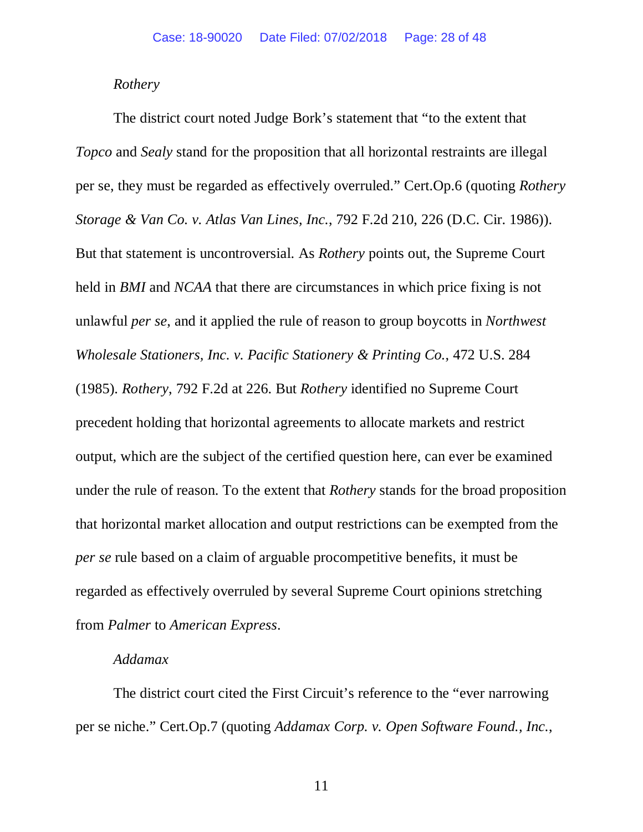#### *Rothery*

The district court noted Judge Bork's statement that "to the extent that *Topco* and *Sealy* stand for the proposition that all horizontal restraints are illegal per se, they must be regarded as effectively overruled." Cert.Op.6 (quoting *Rothery Storage & Van Co. v. Atlas Van Lines, Inc.*, 792 F.2d 210, 226 (D.C. Cir. 1986)). But that statement is uncontroversial. As *Rothery* points out, the Supreme Court held in *BMI* and *NCAA* that there are circumstances in which price fixing is not unlawful *per se*, and it applied the rule of reason to group boycotts in *Northwest Wholesale Stationers, Inc. v. Pacific Stationery & Printing Co.*, 472 U.S. 284 (1985). *Rothery*, 792 F.2d at 226. But *Rothery* identified no Supreme Court precedent holding that horizontal agreements to allocate markets and restrict output, which are the subject of the certified question here, can ever be examined under the rule of reason. To the extent that *Rothery* stands for the broad proposition that horizontal market allocation and output restrictions can be exempted from the *per se* rule based on a claim of arguable procompetitive benefits, it must be regarded as effectively overruled by several Supreme Court opinions stretching from *Palmer* to *American Express*.

#### *Addamax*

The district court cited the First Circuit's reference to the "ever narrowing per se niche." Cert.Op.7 (quoting *Addamax Corp. v. Open Software Found., Inc.*,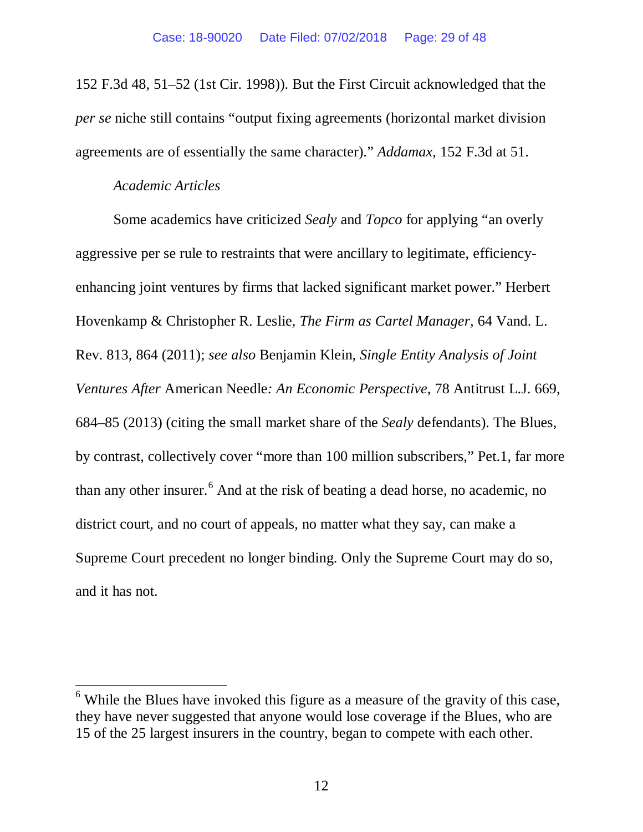152 F.3d 48, 51–52 (1st Cir. 1998)). But the First Circuit acknowledged that the *per se* niche still contains "output fixing agreements (horizontal market division agreements are of essentially the same character)." *Addamax*, 152 F.3d at 51.

#### *Academic Articles*

 $\overline{a}$ 

Some academics have criticized *Sealy* and *Topco* for applying "an overly aggressive per se rule to restraints that were ancillary to legitimate, efficiencyenhancing joint ventures by firms that lacked significant market power." Herbert Hovenkamp & Christopher R. Leslie, *The Firm as Cartel Manager*, 64 Vand. L. Rev. 813, 864 (2011); *see also* Benjamin Klein, *Single Entity Analysis of Joint Ventures After* American Needle*: An Economic Perspective*, 78 Antitrust L.J. 669, 684–85 (2013) (citing the small market share of the *Sealy* defendants). The Blues, by contrast, collectively cover "more than 100 million subscribers," Pet.1, far more than any other insurer.<sup>6</sup> And at the risk of beating a dead horse, no academic, no district court, and no court of appeals, no matter what they say, can make a Supreme Court precedent no longer binding. Only the Supreme Court may do so, and it has not.

 $6$  While the Blues have invoked this figure as a measure of the gravity of this case, they have never suggested that anyone would lose coverage if the Blues, who are 15 of the 25 largest insurers in the country, began to compete with each other.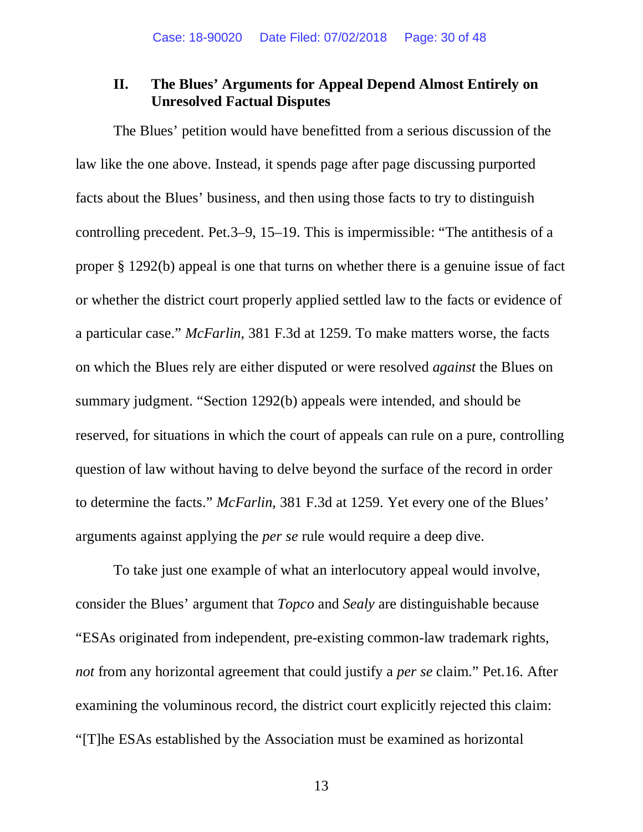## **II. The Blues' Arguments for Appeal Depend Almost Entirely on Unresolved Factual Disputes**

The Blues' petition would have benefitted from a serious discussion of the law like the one above. Instead, it spends page after page discussing purported facts about the Blues' business, and then using those facts to try to distinguish controlling precedent. Pet.3–9, 15–19. This is impermissible: "The antithesis of a proper § 1292(b) appeal is one that turns on whether there is a genuine issue of fact or whether the district court properly applied settled law to the facts or evidence of a particular case." *McFarlin*, 381 F.3d at 1259. To make matters worse, the facts on which the Blues rely are either disputed or were resolved *against* the Blues on summary judgment. "Section 1292(b) appeals were intended, and should be reserved, for situations in which the court of appeals can rule on a pure, controlling question of law without having to delve beyond the surface of the record in order to determine the facts." *McFarlin*, 381 F.3d at 1259. Yet every one of the Blues' arguments against applying the *per se* rule would require a deep dive.

To take just one example of what an interlocutory appeal would involve, consider the Blues' argument that *Topco* and *Sealy* are distinguishable because "ESAs originated from independent, pre-existing common-law trademark rights, *not* from any horizontal agreement that could justify a *per se* claim." Pet.16. After examining the voluminous record, the district court explicitly rejected this claim: "[T]he ESAs established by the Association must be examined as horizontal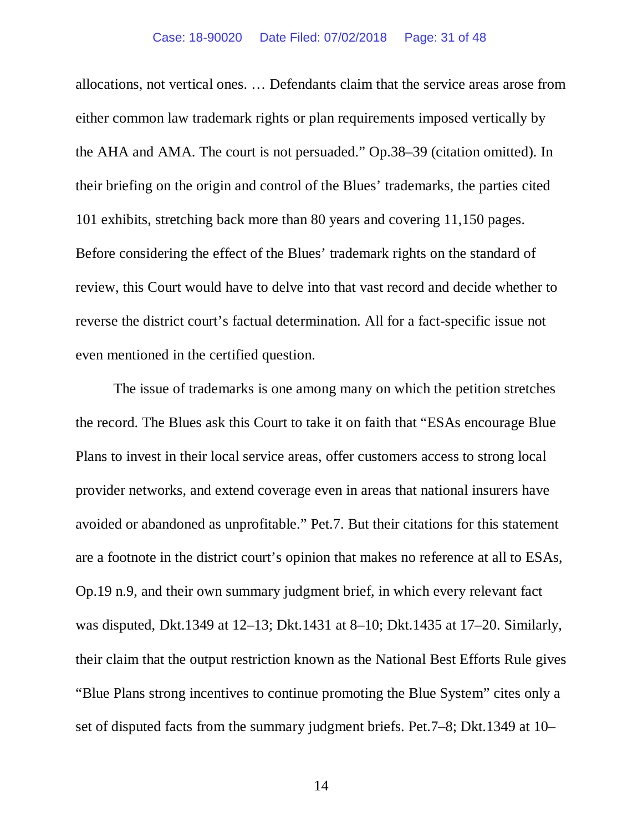allocations, not vertical ones. … Defendants claim that the service areas arose from either common law trademark rights or plan requirements imposed vertically by the AHA and AMA. The court is not persuaded." Op.38–39 (citation omitted). In their briefing on the origin and control of the Blues' trademarks, the parties cited 101 exhibits, stretching back more than 80 years and covering 11,150 pages. Before considering the effect of the Blues' trademark rights on the standard of review, this Court would have to delve into that vast record and decide whether to reverse the district court's factual determination. All for a fact-specific issue not even mentioned in the certified question.

The issue of trademarks is one among many on which the petition stretches the record. The Blues ask this Court to take it on faith that "ESAs encourage Blue Plans to invest in their local service areas, offer customers access to strong local provider networks, and extend coverage even in areas that national insurers have avoided or abandoned as unprofitable." Pet.7. But their citations for this statement are a footnote in the district court's opinion that makes no reference at all to ESAs, Op.19 n.9, and their own summary judgment brief, in which every relevant fact was disputed, Dkt.1349 at 12–13; Dkt.1431 at 8–10; Dkt.1435 at 17–20. Similarly, their claim that the output restriction known as the National Best Efforts Rule gives "Blue Plans strong incentives to continue promoting the Blue System" cites only a set of disputed facts from the summary judgment briefs. Pet.7–8; Dkt.1349 at 10–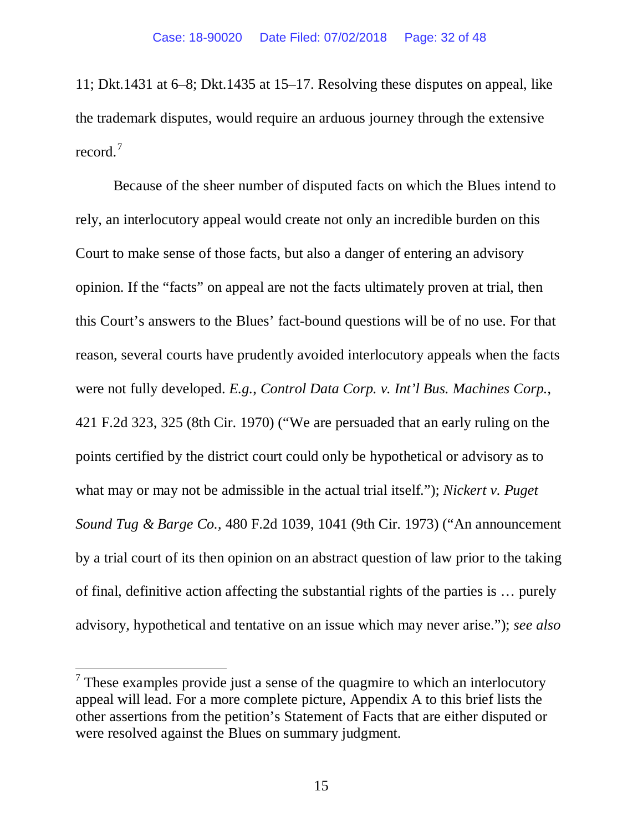11; Dkt.1431 at 6–8; Dkt.1435 at 15–17. Resolving these disputes on appeal, like the trademark disputes, would require an arduous journey through the extensive record.<sup>7</sup>

Because of the sheer number of disputed facts on which the Blues intend to rely, an interlocutory appeal would create not only an incredible burden on this Court to make sense of those facts, but also a danger of entering an advisory opinion. If the "facts" on appeal are not the facts ultimately proven at trial, then this Court's answers to the Blues' fact-bound questions will be of no use. For that reason, several courts have prudently avoided interlocutory appeals when the facts were not fully developed. *E.g.*, *Control Data Corp. v. Int'l Bus. Machines Corp.*, 421 F.2d 323, 325 (8th Cir. 1970) ("We are persuaded that an early ruling on the points certified by the district court could only be hypothetical or advisory as to what may or may not be admissible in the actual trial itself."); *Nickert v. Puget Sound Tug & Barge Co.*, 480 F.2d 1039, 1041 (9th Cir. 1973) ("An announcement by a trial court of its then opinion on an abstract question of law prior to the taking of final, definitive action affecting the substantial rights of the parties is … purely advisory, hypothetical and tentative on an issue which may never arise."); *see also*

 $\overline{a}$ 

 $<sup>7</sup>$  These examples provide just a sense of the quagmire to which an interlocutory</sup> appeal will lead. For a more complete picture, Appendix A to this brief lists the other assertions from the petition's Statement of Facts that are either disputed or were resolved against the Blues on summary judgment.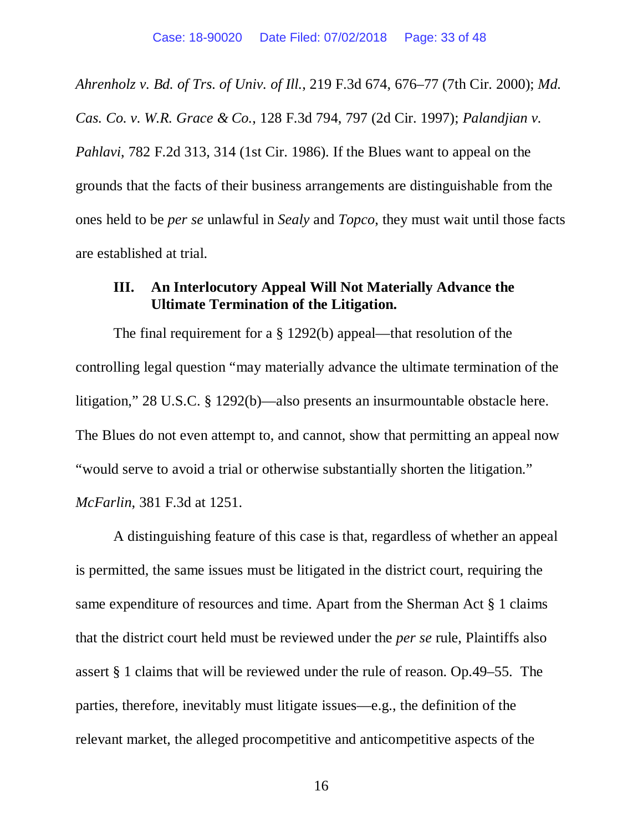*Ahrenholz v. Bd. of Trs. of Univ. of Ill.*, 219 F.3d 674, 676–77 (7th Cir. 2000); *Md.* 

*Cas. Co. v. W.R. Grace & Co.*, 128 F.3d 794, 797 (2d Cir. 1997); *Palandjian v. Pahlavi*, 782 F.2d 313, 314 (1st Cir. 1986). If the Blues want to appeal on the grounds that the facts of their business arrangements are distinguishable from the ones held to be *per se* unlawful in *Sealy* and *Topco*, they must wait until those facts are established at trial.

# **III. An Interlocutory Appeal Will Not Materially Advance the Ultimate Termination of the Litigation.**

The final requirement for a § 1292(b) appeal—that resolution of the controlling legal question "may materially advance the ultimate termination of the litigation," 28 U.S.C. § 1292(b)—also presents an insurmountable obstacle here. The Blues do not even attempt to, and cannot, show that permitting an appeal now "would serve to avoid a trial or otherwise substantially shorten the litigation." *McFarlin*, 381 F.3d at 1251.

A distinguishing feature of this case is that, regardless of whether an appeal is permitted, the same issues must be litigated in the district court, requiring the same expenditure of resources and time. Apart from the Sherman Act § 1 claims that the district court held must be reviewed under the *per se* rule, Plaintiffs also assert § 1 claims that will be reviewed under the rule of reason. Op.49–55. The parties, therefore, inevitably must litigate issues—e.g., the definition of the relevant market, the alleged procompetitive and anticompetitive aspects of the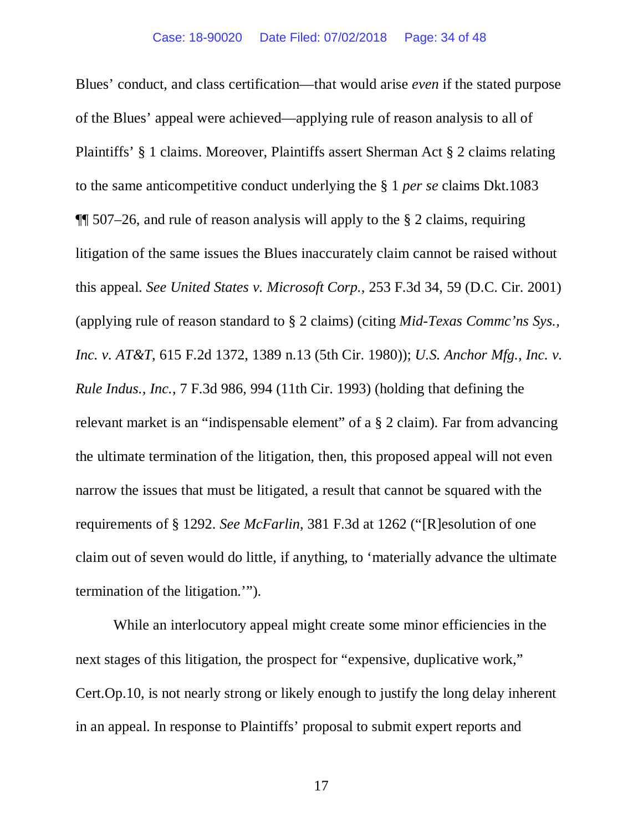Blues' conduct, and class certification—that would arise *even* if the stated purpose of the Blues' appeal were achieved—applying rule of reason analysis to all of Plaintiffs' § 1 claims. Moreover, Plaintiffs assert Sherman Act § 2 claims relating to the same anticompetitive conduct underlying the § 1 *per se* claims Dkt.1083  $\P$  507–26, and rule of reason analysis will apply to the § 2 claims, requiring litigation of the same issues the Blues inaccurately claim cannot be raised without this appeal. *See United States v. Microsoft Corp.*, 253 F.3d 34, 59 (D.C. Cir. 2001) (applying rule of reason standard to § 2 claims) (citing *Mid-Texas Commc'ns Sys., Inc. v. AT&T*, 615 F.2d 1372, 1389 n.13 (5th Cir. 1980)); *U.S. Anchor Mfg., Inc. v. Rule Indus., Inc.*, 7 F.3d 986, 994 (11th Cir. 1993) (holding that defining the relevant market is an "indispensable element" of a § 2 claim). Far from advancing the ultimate termination of the litigation, then, this proposed appeal will not even narrow the issues that must be litigated, a result that cannot be squared with the requirements of § 1292. *See McFarlin*, 381 F.3d at 1262 ("[R]esolution of one claim out of seven would do little, if anything, to 'materially advance the ultimate termination of the litigation.'").

While an interlocutory appeal might create some minor efficiencies in the next stages of this litigation, the prospect for "expensive, duplicative work," Cert.Op.10, is not nearly strong or likely enough to justify the long delay inherent in an appeal. In response to Plaintiffs' proposal to submit expert reports and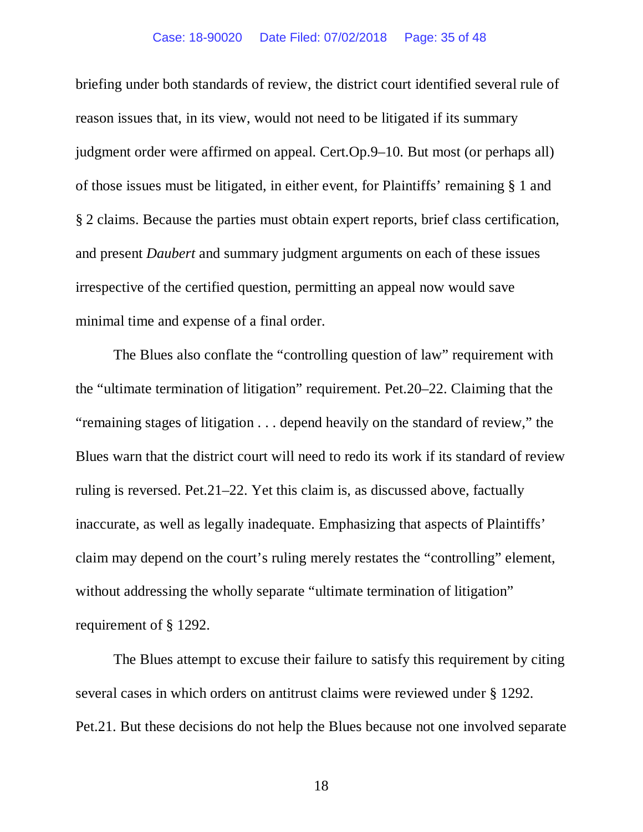#### Case: 18-90020 Date Filed: 07/02/2018 Page: 35 of 48

briefing under both standards of review, the district court identified several rule of reason issues that, in its view, would not need to be litigated if its summary judgment order were affirmed on appeal. Cert.Op.9–10. But most (or perhaps all) of those issues must be litigated, in either event, for Plaintiffs' remaining § 1 and § 2 claims. Because the parties must obtain expert reports, brief class certification, and present *Daubert* and summary judgment arguments on each of these issues irrespective of the certified question, permitting an appeal now would save minimal time and expense of a final order.

The Blues also conflate the "controlling question of law" requirement with the "ultimate termination of litigation" requirement. Pet.20–22. Claiming that the "remaining stages of litigation . . . depend heavily on the standard of review," the Blues warn that the district court will need to redo its work if its standard of review ruling is reversed. Pet.21–22. Yet this claim is, as discussed above, factually inaccurate, as well as legally inadequate. Emphasizing that aspects of Plaintiffs' claim may depend on the court's ruling merely restates the "controlling" element, without addressing the wholly separate "ultimate termination of litigation" requirement of § 1292.

The Blues attempt to excuse their failure to satisfy this requirement by citing several cases in which orders on antitrust claims were reviewed under § 1292. Pet.21. But these decisions do not help the Blues because not one involved separate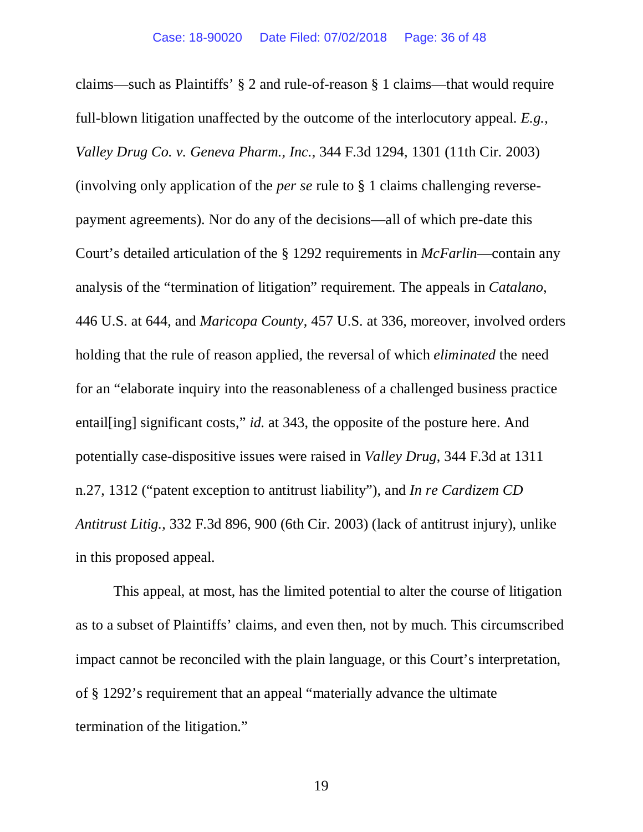claims—such as Plaintiffs' § 2 and rule-of-reason § 1 claims—that would require full-blown litigation unaffected by the outcome of the interlocutory appeal. *E.g.*, *Valley Drug Co. v. Geneva Pharm., Inc.*, 344 F.3d 1294, 1301 (11th Cir. 2003) (involving only application of the *per se* rule to § 1 claims challenging reversepayment agreements). Nor do any of the decisions—all of which pre-date this Court's detailed articulation of the § 1292 requirements in *McFarlin*—contain any analysis of the "termination of litigation" requirement. The appeals in *Catalano*, 446 U.S. at 644, and *Maricopa County*, 457 U.S. at 336, moreover, involved orders holding that the rule of reason applied, the reversal of which *eliminated* the need for an "elaborate inquiry into the reasonableness of a challenged business practice entail[ing] significant costs," *id.* at 343, the opposite of the posture here. And potentially case-dispositive issues were raised in *Valley Drug*, 344 F.3d at 1311 n.27, 1312 ("patent exception to antitrust liability"), and *In re Cardizem CD Antitrust Litig.*, 332 F.3d 896, 900 (6th Cir. 2003) (lack of antitrust injury), unlike in this proposed appeal.

This appeal, at most, has the limited potential to alter the course of litigation as to a subset of Plaintiffs' claims, and even then, not by much. This circumscribed impact cannot be reconciled with the plain language, or this Court's interpretation, of § 1292's requirement that an appeal "materially advance the ultimate termination of the litigation."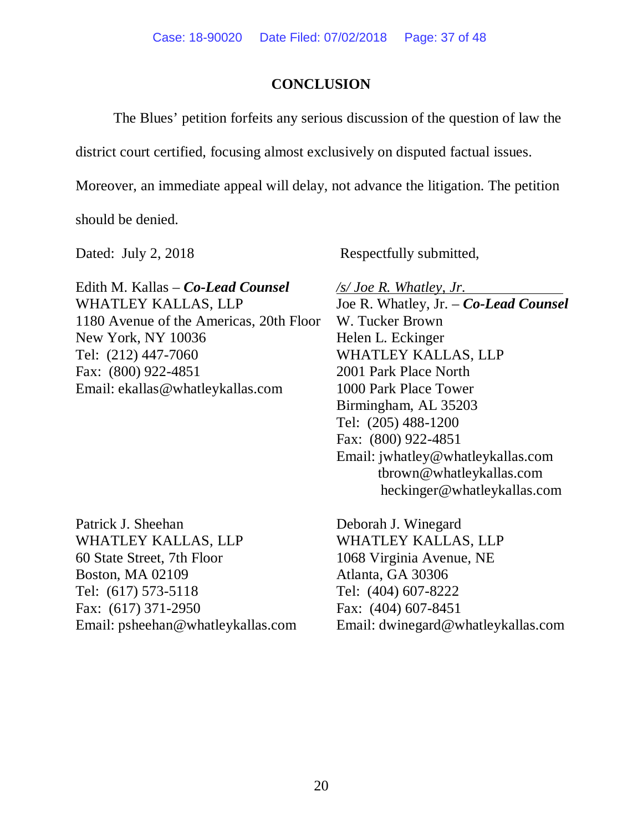## **CONCLUSION**

The Blues' petition forfeits any serious discussion of the question of law the

district court certified, focusing almost exclusively on disputed factual issues.

Moreover, an immediate appeal will delay, not advance the litigation. The petition

should be denied.

Edith M. Kallas – *Co-Lead Counsel* WHATLEY KALLAS, LLP 1180 Avenue of the Americas, 20th Floor New York, NY 10036 Tel: (212) 447-7060 Fax: (800) 922-4851 Email: ekallas@whatleykallas.com

Patrick J. Sheehan WHATLEY KALLAS, LLP 60 State Street, 7th Floor Boston, MA 02109 Tel: (617) 573-5118 Fax: (617) 371-2950 Email: psheehan@whatleykallas.com

Dated: July 2, 2018 Respectfully submitted,

*/s/ Joe R. Whatley, Jr.* Joe R. Whatley, Jr. – *Co-Lead Counsel* W. Tucker Brown Helen L. Eckinger WHATLEY KALLAS, LLP 2001 Park Place North 1000 Park Place Tower Birmingham, AL 35203 Tel: (205) 488-1200 Fax: (800) 922-4851 Email: jwhatley@whatleykallas.com tbrown@whatleykallas.com heckinger@whatleykallas.com

Deborah J. Winegard WHATLEY KALLAS, LLP 1068 Virginia Avenue, NE Atlanta, GA 30306 Tel: (404) 607-8222 Fax: (404) 607-8451 Email: dwinegard@whatleykallas.com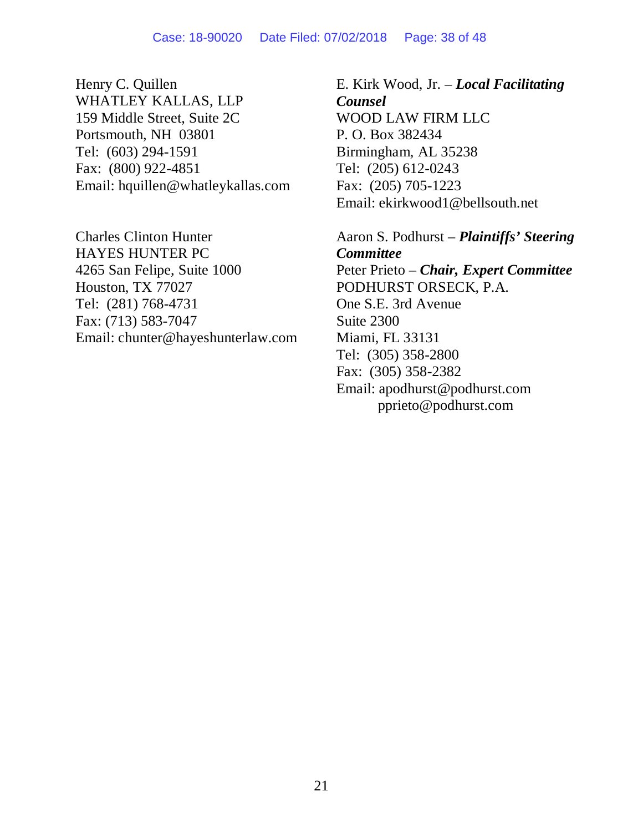Henry C. Quillen WHATLEY KALLAS, LLP 159 Middle Street, Suite 2C Portsmouth, NH 03801 Tel: (603) 294-1591 Fax: (800) 922-4851 Email: hquillen@whatleykallas.com

Charles Clinton Hunter HAYES HUNTER PC 4265 San Felipe, Suite 1000 Houston, TX 77027 Tel: (281) 768-4731 Fax: (713) 583-7047 Email: chunter@hayeshunterlaw.com

E. Kirk Wood, Jr. – *Local Facilitating Counsel* WOOD LAW FIRM LLC P. O. Box 382434 Birmingham, AL 35238 Tel: (205) 612-0243 Fax: (205) 705-1223 Email: ekirkwood1@bellsouth.net

Aaron S. Podhurst – *Plaintiffs' Steering Committee* Peter Prieto – *Chair, Expert Committee* PODHURST ORSECK, P.A. One S.E. 3rd Avenue Suite 2300 Miami, FL 33131 Tel: (305) 358-2800 Fax: (305) 358-2382 Email: apodhurst@podhurst.com pprieto@podhurst.com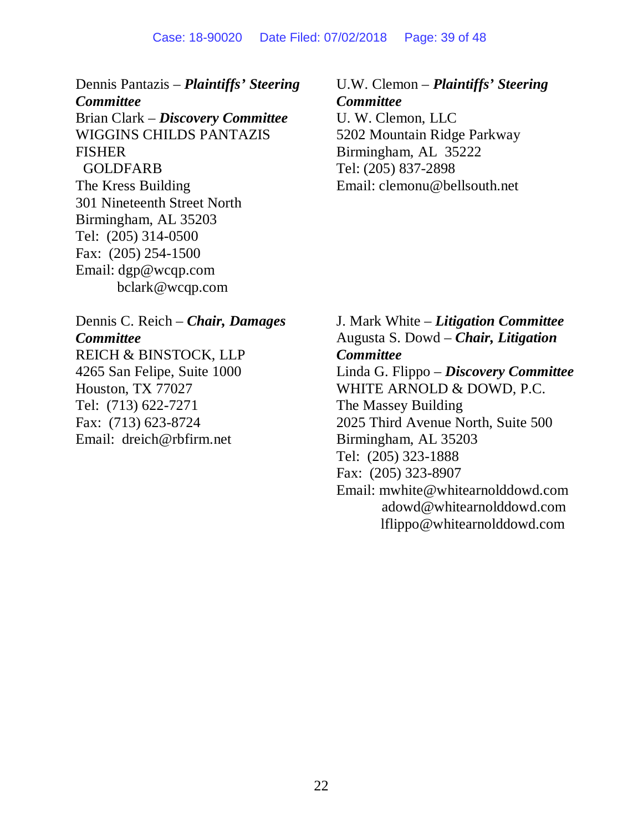#### Case: 18-90020 Date Filed: 07/02/2018 Page: 39 of 48

Dennis Pantazis – *Plaintiffs' Steering Committee* Brian Clark – *Discovery Committee* WIGGINS CHILDS PANTAZIS FISHER GOLDFARB The Kress Building 301 Nineteenth Street North Birmingham, AL 35203 Tel: (205) 314-0500 Fax: (205) 254-1500 Email: dgp@wcqp.com bclark@wcqp.com

Dennis C. Reich – *Chair, Damages Committee* REICH & BINSTOCK, LLP 4265 San Felipe, Suite 1000 Houston, TX 77027 Tel: (713) 622-7271 Fax: (713) 623-8724 Email: dreich@rbfirm.net

U.W. Clemon – *Plaintiffs' Steering Committee* U. W. Clemon, LLC 5202 Mountain Ridge Parkway Birmingham, AL 35222 Tel: (205) 837-2898 Email: clemonu@bellsouth.net

J. Mark White – *Litigation Committee* Augusta S. Dowd – *Chair, Litigation Committee* Linda G. Flippo – *Discovery Committee* WHITE ARNOLD & DOWD, P.C. The Massey Building 2025 Third Avenue North, Suite 500 Birmingham, AL 35203 Tel: (205) 323-1888 Fax: (205) 323-8907 Email: mwhite@whitearnolddowd.com adowd@whitearnolddowd.com lflippo@whitearnolddowd.com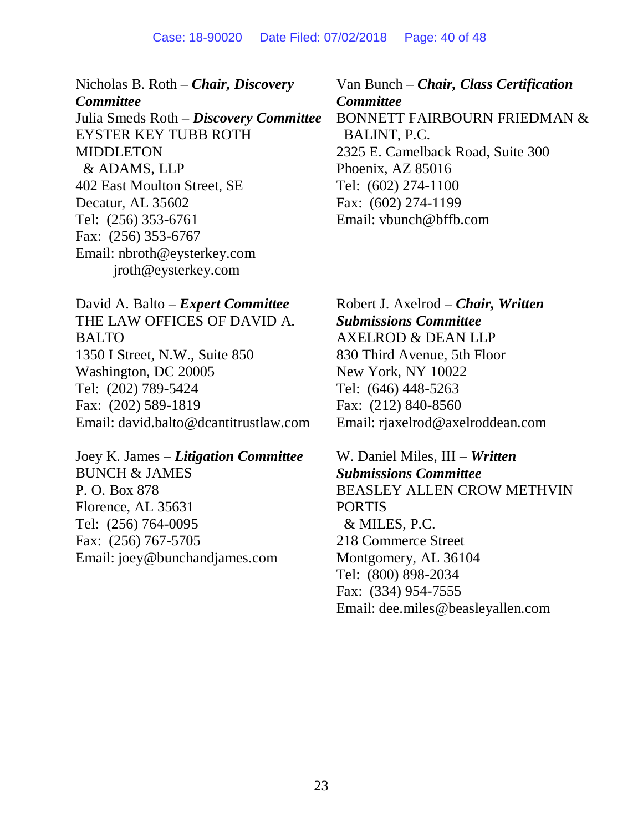Nicholas B. Roth – *Chair, Discovery Committee* Julia Smeds Roth – *Discovery Committee* EYSTER KEY TUBB ROTH MIDDLETON & ADAMS, LLP 402 East Moulton Street, SE Decatur, AL 35602 Tel: (256) 353-6761 Fax: (256) 353-6767 Email: nbroth@eysterkey.com jroth@eysterkey.com

David A. Balto – *Expert Committee* THE LAW OFFICES OF DAVID A. **BALTO** 1350 I Street, N.W., Suite 850 Washington, DC 20005 Tel: (202) 789-5424 Fax: (202) 589-1819 Email: david.balto@dcantitrustlaw.com

Joey K. James – *Litigation Committee* BUNCH & JAMES P. O. Box 878 Florence, AL 35631 Tel: (256) 764-0095 Fax: (256) 767-5705 Email: joey@bunchandjames.com

Van Bunch – *Chair, Class Certification Committee* BONNETT FAIRBOURN FRIEDMAN & BALINT, P.C. 2325 E. Camelback Road, Suite 300 Phoenix, AZ 85016 Tel: (602) 274-1100 Fax: (602) 274-1199 Email: vbunch@bffb.com

Robert J. Axelrod – *Chair, Written Submissions Committee* AXELROD & DEAN LLP 830 Third Avenue, 5th Floor New York, NY 10022 Tel: (646) 448-5263 Fax: (212) 840-8560 Email: rjaxelrod@axelroddean.com

W. Daniel Miles, III – *Written Submissions Committee* BEASLEY ALLEN CROW METHVIN PORTIS & MILES, P.C. 218 Commerce Street Montgomery, AL 36104 Tel: (800) 898-2034 Fax: (334) 954-7555 Email: dee.miles@beasleyallen.com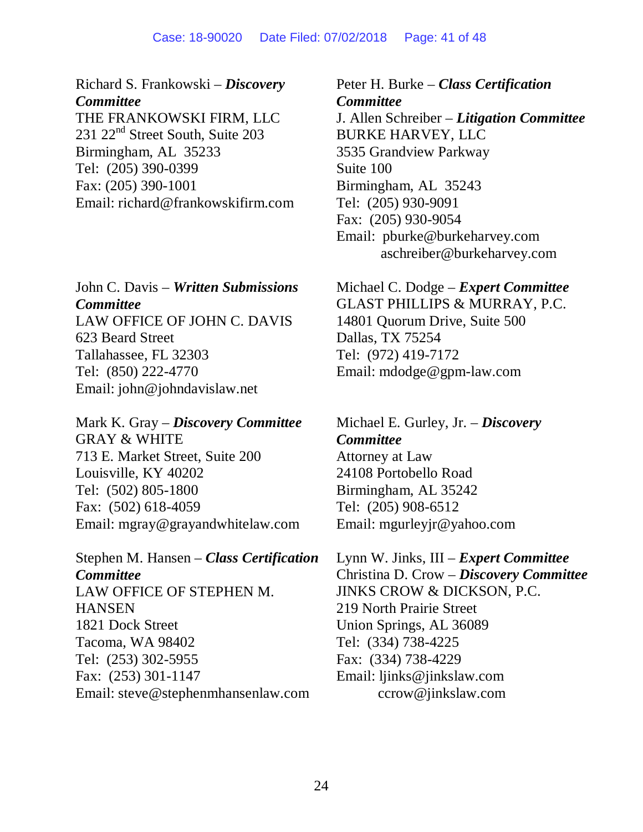#### Case: 18-90020 Date Filed: 07/02/2018 Page: 41 of 48

Richard S. Frankowski – *Discovery Committee* THE FRANKOWSKI FIRM, LLC 231 22<sup>nd</sup> Street South, Suite 203 Birmingham, AL 35233 Tel: (205) 390-0399 Fax: (205) 390-1001 Email: richard@frankowskifirm.com

John C. Davis – *Written Submissions Committee* LAW OFFICE OF JOHN C. DAVIS 623 Beard Street Tallahassee, FL 32303 Tel: (850) 222-4770 Email: john@johndavislaw.net

Mark K. Gray – *Discovery Committee* GRAY & WHITE 713 E. Market Street, Suite 200 Louisville, KY 40202 Tel: (502) 805-1800 Fax: (502) 618-4059 Email: mgray@grayandwhitelaw.com

Stephen M. Hansen – *Class Certification Committee* LAW OFFICE OF STEPHEN M. **HANSEN** 1821 Dock Street Tacoma, WA 98402 Tel: (253) 302-5955 Fax: (253) 301-1147 Email: steve@stephenmhansenlaw.com

Peter H. Burke – *Class Certification Committee* J. Allen Schreiber – *Litigation Committee* BURKE HARVEY, LLC 3535 Grandview Parkway Suite 100 Birmingham, AL 35243 Tel: (205) 930-9091 Fax: (205) 930-9054 Email: pburke@burkeharvey.com aschreiber@burkeharvey.com

Michael C. Dodge – *Expert Committee* GLAST PHILLIPS & MURRAY, P.C. 14801 Quorum Drive, Suite 500 Dallas, TX 75254 Tel: (972) 419-7172 Email: mdodge@gpm-law.com

Michael E. Gurley, Jr. – *Discovery Committee* Attorney at Law 24108 Portobello Road Birmingham, AL 35242 Tel: (205) 908-6512 Email: mgurleyjr@yahoo.com

Lynn W. Jinks, III – *Expert Committee* Christina D. Crow – *Discovery Committee* JINKS CROW & DICKSON, P.C. 219 North Prairie Street Union Springs, AL 36089 Tel: (334) 738-4225 Fax: (334) 738-4229 Email: ljinks@jinkslaw.com ccrow@jinkslaw.com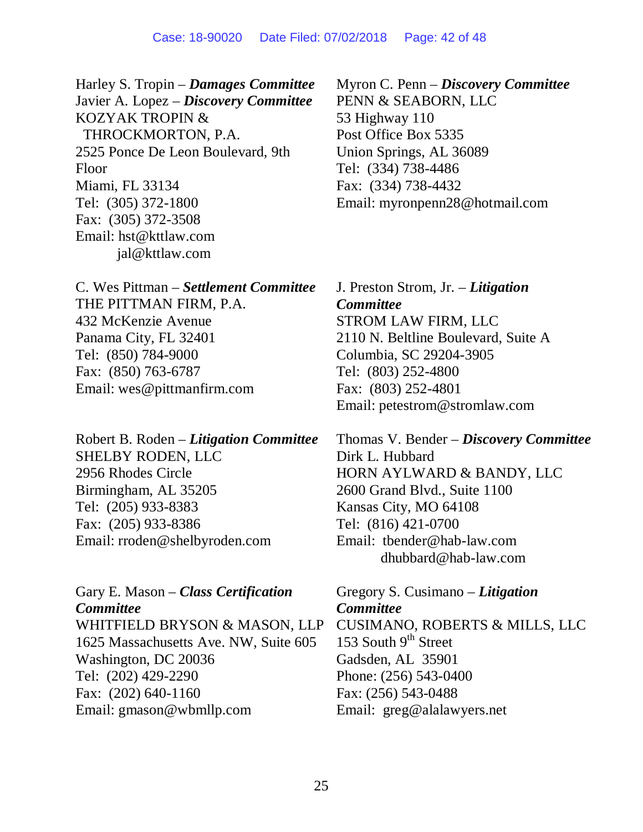Harley S. Tropin – *Damages Committee* Javier A. Lopez – *Discovery Committee* KOZYAK TROPIN & THROCKMORTON, P.A. 2525 Ponce De Leon Boulevard, 9th Floor Miami, FL 33134 Tel: (305) 372-1800 Fax: (305) 372-3508 Email: hst@kttlaw.com jal@kttlaw.com

C. Wes Pittman – *Settlement Committee* THE PITTMAN FIRM, P.A. 432 McKenzie Avenue Panama City, FL 32401 Tel: (850) 784-9000 Fax: (850) 763-6787 Email: wes@pittmanfirm.com

Robert B. Roden – *Litigation Committee* SHELBY RODEN, LLC 2956 Rhodes Circle Birmingham, AL 35205 Tel: (205) 933-8383 Fax: (205) 933-8386 Email: rroden@shelbyroden.com

Gary E. Mason – *Class Certification Committee* WHITFIELD BRYSON & MASON, LLP 1625 Massachusetts Ave. NW, Suite 605 Washington, DC 20036 Tel: (202) 429-2290 Fax: (202) 640-1160 Email: gmason@wbmllp.com

Myron C. Penn – *Discovery Committee* PENN & SEABORN, LLC 53 Highway 110 Post Office Box 5335 Union Springs, AL 36089 Tel: (334) 738-4486 Fax: (334) 738-4432 Email: myronpenn28@hotmail.com

J. Preston Strom, Jr. – *Litigation Committee* STROM LAW FIRM, LLC 2110 N. Beltline Boulevard, Suite A Columbia, SC 29204-3905 Tel: (803) 252-4800 Fax: (803) 252-4801 Email: petestrom@stromlaw.com

Thomas V. Bender – *Discovery Committee* Dirk L. Hubbard HORN AYLWARD & BANDY, LLC 2600 Grand Blvd., Suite 1100 Kansas City, MO 64108 Tel: (816) 421-0700 Email: tbender@hab-law.com dhubbard@hab-law.com

Gregory S. Cusimano – *Litigation Committee* CUSIMANO, ROBERTS & MILLS, LLC 153 South  $9<sup>th</sup>$  Street Gadsden, AL 35901 Phone: (256) 543-0400 Fax: (256) 543-0488 Email: greg@alalawyers.net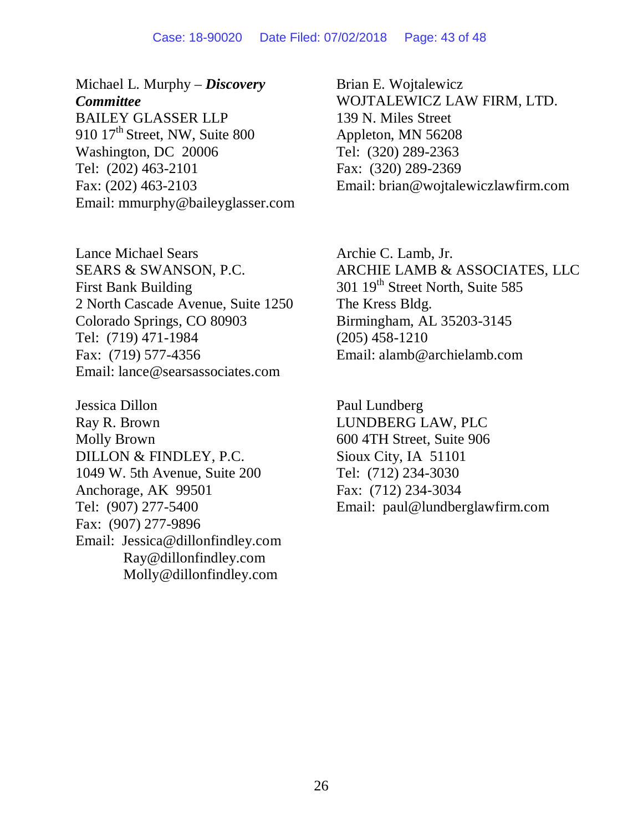#### Case: 18-90020 Date Filed: 07/02/2018 Page: 43 of 48

Michael L. Murphy – *Discovery Committee* BAILEY GLASSER LLP 910  $17<sup>th</sup>$  Street, NW, Suite 800 Washington, DC 20006 Tel: (202) 463-2101 Fax: (202) 463-2103 Email: mmurphy@baileyglasser.com

Lance Michael Sears SEARS & SWANSON, P.C. First Bank Building 2 North Cascade Avenue, Suite 1250 Colorado Springs, CO 80903 Tel: (719) 471-1984 Fax: (719) 577-4356 Email: lance@searsassociates.com

Jessica Dillon Ray R. Brown Molly Brown DILLON & FINDLEY, P.C. 1049 W. 5th Avenue, Suite 200 Anchorage, AK 99501 Tel: (907) 277-5400 Fax: (907) 277-9896 Email: Jessica@dillonfindley.com Ray@dillonfindley.com Molly@dillonfindley.com

Brian E. Wojtalewicz WOJTALEWICZ LAW FIRM, LTD. 139 N. Miles Street Appleton, MN 56208 Tel: (320) 289-2363 Fax: (320) 289-2369 Email: brian@wojtalewiczlawfirm.com

Archie C. Lamb, Jr. ARCHIE LAMB & ASSOCIATES, LLC 301 19<sup>th</sup> Street North, Suite 585 The Kress Bldg. Birmingham, AL 35203-3145 (205) 458-1210 Email: alamb@archielamb.com

Paul Lundberg LUNDBERG LAW, PLC 600 4TH Street, Suite 906 Sioux City, IA 51101 Tel: (712) 234-3030 Fax: (712) 234-3034 Email: paul@lundberglawfirm.com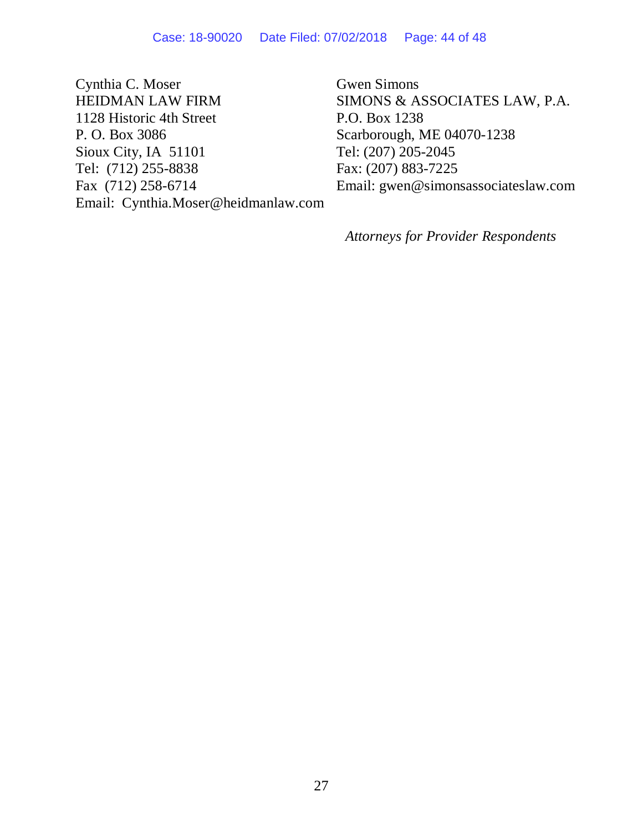Cynthia C. Moser HEIDMAN LAW FIRM 1128 Historic 4th Street P. O. Box 3086 Sioux City, IA 51101 Tel: (712) 255-8838 Fax (712) 258-6714 Email: Cynthia.Moser@heidmanlaw.com

Gwen Simons SIMONS & ASSOCIATES LAW, P.A. P.O. Box 1238 Scarborough, ME 04070-1238 Tel: (207) 205-2045 Fax: (207) 883-7225 Email: gwen@simonsassociateslaw.com

*Attorneys for Provider Respondents*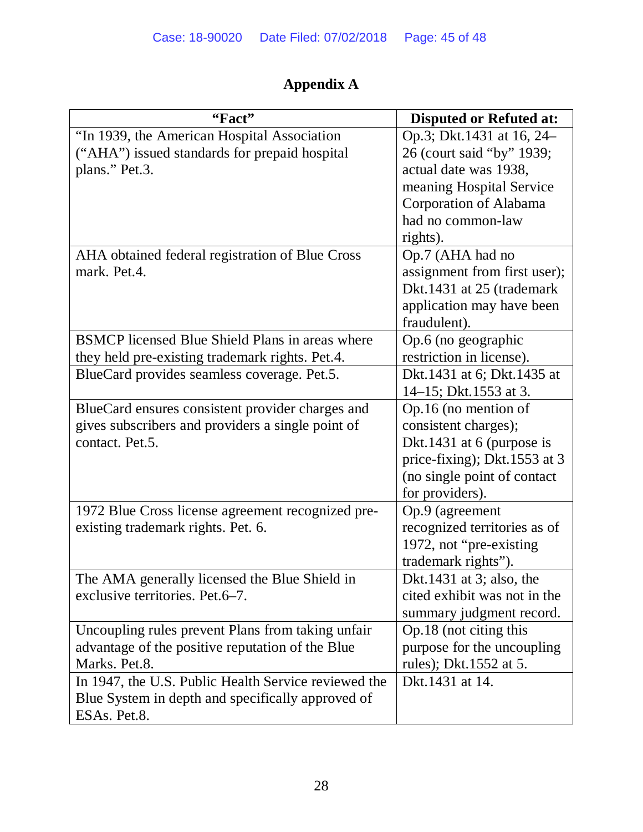# **Appendix A**

| "Fact"                                               | <b>Disputed or Refuted at:</b> |
|------------------------------------------------------|--------------------------------|
| "In 1939, the American Hospital Association          | Op.3; Dkt.1431 at 16, 24–      |
| ("AHA") issued standards for prepaid hospital        | 26 (court said "by" 1939;      |
| plans." Pet.3.                                       | actual date was 1938,          |
|                                                      | meaning Hospital Service       |
|                                                      | Corporation of Alabama         |
|                                                      | had no common-law              |
|                                                      | rights).                       |
| AHA obtained federal registration of Blue Cross      | Op.7 (AHA had no               |
| mark. Pet.4.                                         | assignment from first user);   |
|                                                      | Dkt.1431 at 25 (trademark      |
|                                                      | application may have been      |
|                                                      | fraudulent).                   |
| BSMCP licensed Blue Shield Plans in areas where      | Op.6 (no geographic            |
| they held pre-existing trademark rights. Pet.4.      | restriction in license).       |
| BlueCard provides seamless coverage. Pet.5.          | Dkt.1431 at 6; Dkt.1435 at     |
|                                                      | 14–15; Dkt.1553 at 3.          |
| BlueCard ensures consistent provider charges and     | Op.16 (no mention of           |
| gives subscribers and providers a single point of    | consistent charges);           |
| contact. Pet.5.                                      | Dkt.1431 at 6 (purpose is      |
|                                                      | price-fixing); Dkt.1553 at 3   |
|                                                      | (no single point of contact    |
|                                                      | for providers).                |
| 1972 Blue Cross license agreement recognized pre-    | Op.9 (agreement                |
| existing trademark rights. Pet. 6.                   | recognized territories as of   |
|                                                      | 1972, not "pre-existing        |
|                                                      | trademark rights").            |
| The AMA generally licensed the Blue Shield in        | Dkt.1431 at 3; also, the       |
| exclusive territories. Pet.6–7.                      | cited exhibit was not in the   |
|                                                      | summary judgment record.       |
| Uncoupling rules prevent Plans from taking unfair    | Op.18 (not citing this         |
| advantage of the positive reputation of the Blue     | purpose for the uncoupling     |
| Marks. Pet.8.                                        | rules); Dkt.1552 at 5.         |
| In 1947, the U.S. Public Health Service reviewed the | Dkt.1431 at 14.                |
| Blue System in depth and specifically approved of    |                                |
| ESAs. Pet.8.                                         |                                |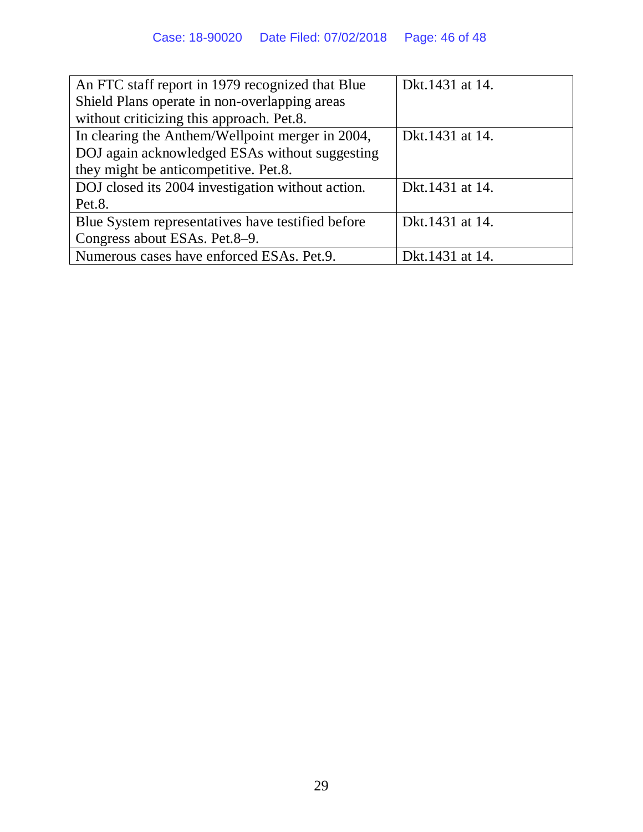| An FTC staff report in 1979 recognized that Blue  | Dkt.1431 at 14.  |
|---------------------------------------------------|------------------|
| Shield Plans operate in non-overlapping areas     |                  |
| without criticizing this approach. Pet.8.         |                  |
| In clearing the Anthem/Wellpoint merger in 2004,  | Dkt. 1431 at 14. |
| DOJ again acknowledged ESAs without suggesting    |                  |
| they might be anticompetitive. Pet.8.             |                  |
| DOJ closed its 2004 investigation without action. | Dkt.1431 at 14.  |
| Pet.8.                                            |                  |
| Blue System representatives have testified before | Dkt.1431 at 14.  |
| Congress about ESAs. Pet.8–9.                     |                  |
| Numerous cases have enforced ESAs. Pet.9.         | Dkt. 1431 at 14. |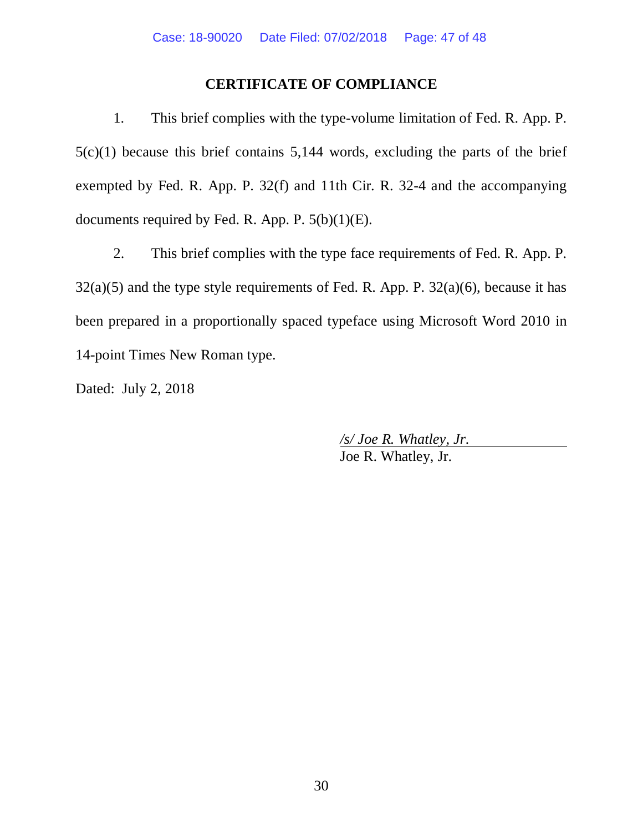## **CERTIFICATE OF COMPLIANCE**

1. This brief complies with the type-volume limitation of Fed. R. App. P. 5(c)(1) because this brief contains 5,144 words, excluding the parts of the brief exempted by Fed. R. App. P. 32(f) and 11th Cir. R. 32-4 and the accompanying documents required by Fed. R. App. P.  $5(b)(1)(E)$ .

2. This brief complies with the type face requirements of Fed. R. App. P.  $32(a)(5)$  and the type style requirements of Fed. R. App. P.  $32(a)(6)$ , because it has been prepared in a proportionally spaced typeface using Microsoft Word 2010 in 14-point Times New Roman type.

Dated: July 2, 2018

 */s/ Joe R. Whatley, Jr.*  Joe R. Whatley, Jr.